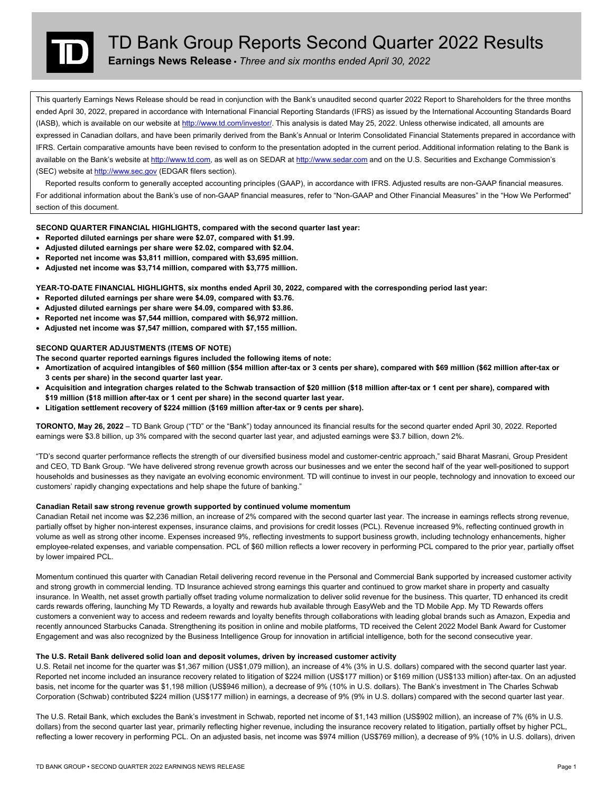

# TD Bank Group Reports Second Quarter 2022 Results

**Earnings News Release •** *Three and six months ended April 30, 2022* 

This quarterly Earnings News Release should be read in conjunction with the Bank's unaudited second quarter 2022 Report to Shareholders for the three months ended April 30, 2022, prepared in accordance with International Financial Reporting Standards (IFRS) as issued by the International Accounting Standards Board (IASB), which is available on our website at http://www.td.com/investor/. This analysis is dated May 25, 2022. Unless otherwise indicated, all amounts are expressed in Canadian dollars, and have been primarily derived from the Bank's Annual or Interim Consolidated Financial Statements prepared in accordance with IFRS. Certain comparative amounts have been revised to conform to the presentation adopted in the current period. Additional information relating to the Bank is available on the Bank's website at http://www.td.com, as well as on SEDAR at http://www.sedar.com and on the U.S. Securities and Exchange Commission's (SEC) website at http://www.sec.gov (EDGAR filers section).

 Reported results conform to generally accepted accounting principles (GAAP), in accordance with IFRS. Adjusted results are non-GAAP financial measures. For additional information about the Bank's use of non-GAAP financial measures, refer to "Non-GAAP and Other Financial Measures" in the "How We Performed" section of this document.

**SECOND QUARTER FINANCIAL HIGHLIGHTS, compared with the second quarter last year:** 

- **Reported diluted earnings per share were \$2.07, compared with \$1.99.**
- **Adjusted diluted earnings per share were \$2.02, compared with \$2.04.**
- **Reported net income was \$3,811 million, compared with \$3,695 million.**
- **Adjusted net income was \$3,714 million, compared with \$3,775 million.**

**YEAR-TO-DATE FINANCIAL HIGHLIGHTS, six months ended April 30, 2022, compared with the corresponding period last year:** 

- **Reported diluted earnings per share were \$4.09, compared with \$3.76.**
- **Adjusted diluted earnings per share were \$4.09, compared with \$3.86.**
- **Reported net income was \$7,544 million, compared with \$6,972 million.**
- **Adjusted net income was \$7,547 million, compared with \$7,155 million.**

#### **SECOND QUARTER ADJUSTMENTS (ITEMS OF NOTE)**

- **The second quarter reported earnings figures included the following items of note:**
- **Amortization of acquired intangibles of \$60 million (\$54 million after-tax or 3 cents per share), compared with \$69 million (\$62 million after-tax or 3 cents per share) in the second quarter last year.**
- **Acquisition and integration charges related to the Schwab transaction of \$20 million (\$18 million after-tax or 1 cent per share), compared with \$19 million (\$18 million after-tax or 1 cent per share) in the second quarter last year.**
- **Litigation settlement recovery of \$224 million (\$169 million after-tax or 9 cents per share).**

 **TORONTO, May 26, 2022** – TD Bank Group ("TD" or the "Bank") today announced its financial results for the second quarter ended April 30, 2022. Reported earnings were \$3.8 billion, up 3% compared with the second quarter last year, and adjusted earnings were \$3.7 billion, down 2%.

"TD's second quarter performance reflects the strength of our diversified business model and customer-centric approach," said Bharat Masrani, Group President and CEO, TD Bank Group. "We have delivered strong revenue growth across our businesses and we enter the second half of the year well-positioned to support households and businesses as they navigate an evolving economic environment. TD will continue to invest in our people, technology and innovation to exceed our customers' rapidly changing expectations and help shape the future of banking."

#### **Canadian Retail saw strong revenue growth supported by continued volume momentum**

 Canadian Retail net income was \$2,236 million, an increase of 2% compared with the second quarter last year. The increase in earnings reflects strong revenue, employee-related expenses, and variable compensation. PCL of \$60 million reflects a lower recovery in performing PCL compared to the prior year, partially offset partially offset by higher non-interest expenses, insurance claims, and provisions for credit losses (PCL). Revenue increased 9%, reflecting continued growth in volume as well as strong other income. Expenses increased 9%, reflecting investments to support business growth, including technology enhancements, higher by lower impaired PCL.

 cards rewards offering, launching My TD Rewards, a loyalty and rewards hub available through EasyWeb and the TD Mobile App. My TD Rewards offers Momentum continued this quarter with Canadian Retail delivering record revenue in the Personal and Commercial Bank supported by increased customer activity and strong growth in commercial lending. TD Insurance achieved strong earnings this quarter and continued to grow market share in property and casualty insurance. In Wealth, net asset growth partially offset trading volume normalization to deliver solid revenue for the business. This quarter, TD enhanced its credit customers a convenient way to access and redeem rewards and loyalty benefits through collaborations with leading global brands such as Amazon, Expedia and recently announced Starbucks Canada. Strengthening its position in online and mobile platforms, TD received the Celent 2022 Model Bank Award for Customer Engagement and was also recognized by the Business Intelligence Group for innovation in artificial intelligence, both for the second consecutive year.

#### **The U.S. Retail Bank delivered solid loan and deposit volumes, driven by increased customer activity**

 Reported net income included an insurance recovery related to litigation of \$224 million (US\$177 million) or \$169 million (US\$133 million) after-tax. On an adjusted U.S. Retail net income for the quarter was \$1,367 million (US\$1,079 million), an increase of 4% (3% in U.S. dollars) compared with the second quarter last year. basis, net income for the quarter was \$1,198 million (US\$946 million), a decrease of 9% (10% in U.S. dollars). The Bank's investment in The Charles Schwab Corporation (Schwab) contributed \$224 million (US\$177 million) in earnings, a decrease of 9% (9% in U.S. dollars) compared with the second quarter last year.

The U.S. Retail Bank, which excludes the Bank's investment in Schwab, reported net income of \$1,143 million (US\$902 million), an increase of 7% (6% in U.S. dollars) from the second quarter last year, primarily reflecting higher revenue, including the insurance recovery related to litigation, partially offset by higher PCL, reflecting a lower recovery in performing PCL. On an adjusted basis, net income was \$974 million (US\$769 million), a decrease of 9% (10% in U.S. dollars), driven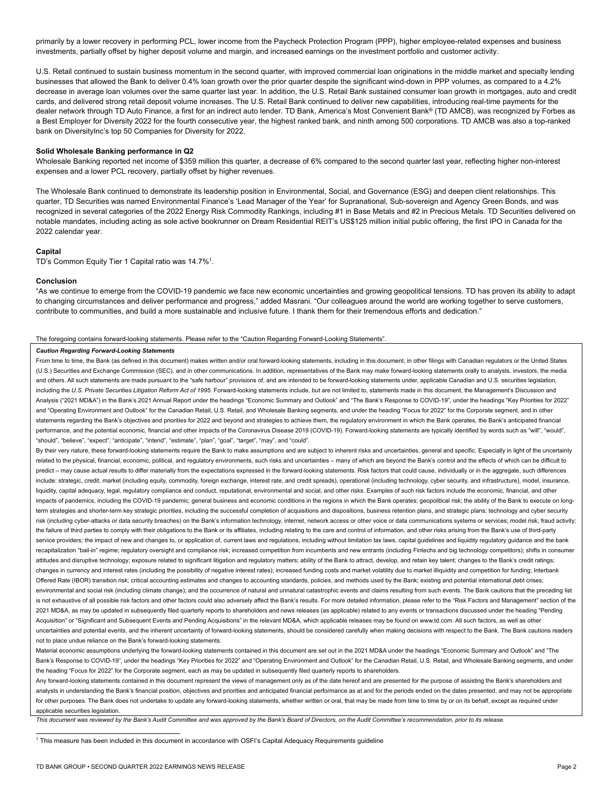primarily by a lower recovery in performing PCL, lower income from the Paycheck Protection Program (PPP), higher employee-related expenses and business investments, partially offset by higher deposit volume and margin, and increased earnings on the investment portfolio and customer activity.

 businesses that allowed the Bank to deliver 0.4% loan growth over the prior quarter despite the significant wind-down in PPP volumes, as compared to a 4.2% dealer network through TD Auto Finance, a first for an indirect auto lender. TD Bank, America's Most Convenient Bank® (TD AMCB), was recognized by Forbes as U.S. Retail continued to sustain business momentum in the second quarter, with improved commercial loan originations in the middle market and specialty lending decrease in average loan volumes over the same quarter last year. In addition, the U.S. Retail Bank sustained consumer loan growth in mortgages, auto and credit cards, and delivered strong retail deposit volume increases. The U.S. Retail Bank continued to deliver new capabilities, introducing real-time payments for the a Best Employer for Diversity 2022 for the fourth consecutive year, the highest ranked bank, and ninth among 500 corporations. TD AMCB was also a top-ranked bank on DiversityInc's top 50 Companies for Diversity for 2022.

#### **Solid Wholesale Banking performance in Q2**

expenses and a lower PCL recovery, partially offset by higher revenues. Wholesale Banking reported net income of \$359 million this quarter, a decrease of 6% compared to the second quarter last year, reflecting higher non-interest

 recognized in several categories of the 2022 Energy Risk Commodity Rankings, including #1 in Base Metals and #2 in Precious Metals. TD Securities delivered on notable mandates, including acting as sole active bookrunner on Dream Residential REIT's US\$125 million initial public offering, the first IPO in Canada for the The Wholesale Bank continued to demonstrate its leadership position in Environmental, Social, and Governance (ESG) and deepen client relationships. This quarter, TD Securities was named Environmental Finance's 'Lead Manager of the Year' for Supranational, Sub-sovereign and Agency Green Bonds, and was 2022 calendar year.

#### **Capital**

TD's Common Equity Tier 1 Capital ratio was 14.7%<sup>1</sup>.

#### **Conclusion**

 "As we continue to emerge from the COVID-19 pandemic we face new economic uncertainties and growing geopolitical tensions. TD has proven its ability to adapt to changing circumstances and deliver performance and progress," added Masrani. "Our colleagues around the world are working together to serve customers, contribute to communities, and build a more sustainable and inclusive future. I thank them for their tremendous efforts and dedication."

#### The foregoing contains forward-looking statements. Please refer to the "Caution Regarding Forward-Looking Statements".

#### *Caution Regarding Forward-Looking Statements*

 From time to time, the Bank (as defined in this document) makes written and/or oral forward-looking statements, including in this document, in other filings with Canadian regulators or the United States including the U.S. Private Securities Litigation Reform Act of 1995. Forward-looking statements include, but are not limited to, statements made in this document, the Management's Discussion and and "Operating Environment and Outlook" for the Canadian Retail, U.S. Retail, and Wholesale Banking segments, and under the heading "Focus for 2022" for the Corporate segment, and in other performance, and the potential economic, financial and other impacts of the Coronavirus Disease 2019 (COVID-19). Forward-looking statements are typically identified by words such as "will", "would", (U.S.) Securities and Exchange Commission (SEC), and in other communications. In addition, representatives of the Bank may make forward-looking statements orally to analysts, investors, the media and others. All such statements are made pursuant to the "safe harbour" provisions of, and are intended to be forward-looking statements under, applicable Canadian and U.S. securities legislation, Analysis ("2021 MD&A") in the Bank's 2021 Annual Report under the headings "Economic Summary and Outlook" and "The Bank's Response to COVID-19", under the headings "Key Priorities for 2022" statements regarding the Bank's objectives and priorities for 2022 and beyond and strategies to achieve them, the regulatory environment in which the Bank operates, the Bank's anticipated financial "should", "believe", "expect", "anticipate", "intend", "estimate", "plan", "goal", "target", "may", and "could".

By their very nature, these forward-looking statements require the Bank to make assumptions and are subject to inherent risks and uncertainties, general and specific. Especially in light of the uncertainty related to the physical, financial, economic, political, and regulatory environments, such risks and uncertainties - many of which are beyond the Bank's control and the effects of which can be difficult to predict – may cause actual results to differ materially from the expectations expressed in the forward-looking statements. Risk factors that could cause, individually or in the aggregate, such differences include: strategic, credit, market (including equity, commodity, foreign exchange, interest rate, and credit spreads), operational (including technology, cyber security, and infrastructure), model, insurance, liquidity, capital adequacy, legal, regulatory compliance and conduct, reputational, environmental and social, and other risks. Examples of such risk factors include the economic, financial, and other impacts of pandemics, including the COVID-19 pandemic; general business and economic conditions in the regions in which the Bank operates; geopolitical risk; the ability of the Bank to execute on longterm strategies and shorter-term key strategic priorities, including the successful completion of acquisitions and dispositions, business retention plans, and strategic plans; technology and cyber security risk (including cyber-attacks or data security breaches) on the Bank's information technology, internet, network access or other voice or data communications systems or services; model risk; fraud activity; the failure of third parties to comply with their obligations to the Bank or its affiliates, including relating to the care and control of information, and other risks arising from the Bank's use of third-party service providers; the impact of new and changes to, or application of, current laws and regulations, including without limitation tax laws, capital guidelines and liquidity regulatory guidance and the bank recapitalization "bail-in" regime; regulatory oversight and compliance risk; increased competition from incumbents and new entrants (including Fintechs and big technology competitors); shifts in consumer attitudes and disruptive technology; exposure related to significant litigation and regulatory matters; ability of the Bank to attract, develop, and retain key talent; changes to the Bank's credit ratings; changes in currency and interest rates (including the possibility of negative interest rates); increased funding costs and market volatility due to market illiquidity and competition for funding; Interbank Offered Rate (IBOR) transition risk; critical accounting estimates and changes to accounting standards, policies, and methods used by the Bank; existing and potential international debt crises; environmental and social risk (including climate change); and the occurrence of natural and unnatural catastrophic events and claims resulting from such events. The Bank cautions that the preceding list is not exhaustive of all possible risk factors and other factors could also adversely affect the Bank's results. For more detailed information, please refer to the "Risk Factors and Management" section of the 2021 MD&A, as may be updated in subsequently filed quarterly reports to shareholders and news releases (as applicable) related to any events or transactions discussed under the heading "Pending Acquisition" or "Significant and Subsequent Events and Pending Acquisitions" in the relevant MD&A, which applicable releases may be found on www.td.com. All such factors, as well as other uncertainties and potential events, and the inherent uncertainty of forward-looking statements, should be considered carefully when making decisions with respect to the Bank. The Bank cautions readers not to place undue reliance on the Bank's forward-looking statements.

Material economic assumptions underlying the forward-looking statements contained in this document are set out in the 2021 MD&A under the headings "Economic Summary and Outlook" and "The Bank's Response to COVID-19", under the headings "Key Priorities for 2022" and "Operating Environment and Outlook" for the Canadian Retail, U.S. Retail, and Wholesale Banking segments, and under the heading "Focus for 2022" for the Corporate segment, each as may be updated in subsequently filed quarterly reports to shareholders.

Any forward-looking statements contained in this document represent the views of management only as of the date hereof and are presented for the purpose of assisting the Bank's shareholders and analysts in understanding the Bank's financial position, objectives and priorities and anticipated financial performance as at and for the periods ended on the dates presented, and may not be appropriate for other purposes. The Bank does not undertake to update any forward-looking statements, whether written or oral, that may be made from time to time by or on its behalf, except as required under applicable securities legislation.

*This document was reviewed by the Bank's Audit Committee and was approved by the Bank's Board of Directors, on the Audit Committee's recommendation, prior to its release.* 

1 This measure has been included in this document in accordance with OSFI's Capital Adequacy Requirements guideline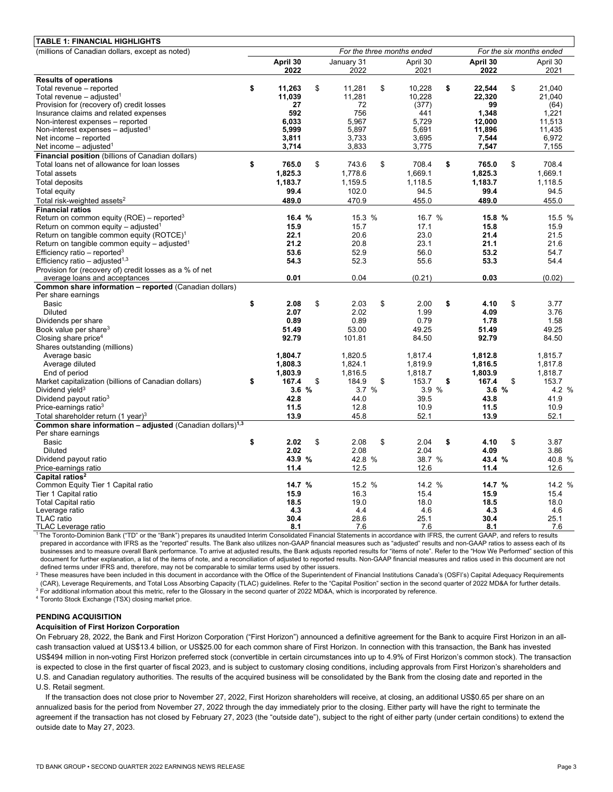| <b>TABLE 1: FINANCIAL HIGHLIGHTS</b>                                    |                            |          |    |            |    |          |                          |          |    |          |  |
|-------------------------------------------------------------------------|----------------------------|----------|----|------------|----|----------|--------------------------|----------|----|----------|--|
| (millions of Canadian dollars, except as noted)                         | For the three months ended |          |    |            |    |          | For the six months ended |          |    |          |  |
|                                                                         |                            | April 30 |    | January 31 |    | April 30 |                          | April 30 |    | April 30 |  |
|                                                                         |                            | 2022     |    | 2022       |    | 2021     |                          | 2022     |    | 2021     |  |
| <b>Results of operations</b>                                            |                            |          |    |            |    |          |                          |          |    |          |  |
| Total revenue - reported                                                | \$                         | 11,263   | \$ | 11,281     | \$ | 10,228   | \$                       | 22.544   | \$ | 21.040   |  |
| Total revenue $-$ adjusted <sup>1</sup>                                 |                            | 11,039   |    | 11,281     |    | 10,228   |                          | 22,320   |    | 21,040   |  |
| Provision for (recovery of) credit losses                               |                            | 27       |    | 72         |    | (377)    |                          | 99       |    | (64)     |  |
| Insurance claims and related expenses                                   |                            | 592      |    | 756        |    | 441      |                          | 1.348    |    | 1,221    |  |
| Non-interest expenses - reported                                        |                            | 6.033    |    | 5.967      |    | 5.729    |                          | 12.000   |    | 11.513   |  |
| Non-interest expenses $-$ adjusted <sup>1</sup>                         |                            | 5,999    |    | 5,897      |    | 5,691    |                          | 11,896   |    | 11,435   |  |
| Net income – reported                                                   |                            | 3,811    |    | 3,733      |    | 3,695    |                          | 7,544    |    | 6,972    |  |
| Net income $-$ adjusted <sup>1</sup>                                    |                            | 3,714    |    | 3,833      |    | 3,775    |                          | 7,547    |    | 7,155    |  |
| Financial position (billions of Canadian dollars)                       |                            |          |    |            |    |          |                          |          |    |          |  |
| Total loans net of allowance for loan losses                            | \$                         | 765.0    | \$ | 743.6      | \$ | 708.4    | \$                       | 765.0    | \$ | 708.4    |  |
| <b>Total assets</b>                                                     |                            | 1,825.3  |    | 1,778.6    |    | 1,669.1  |                          | 1,825.3  |    | 1,669.1  |  |
| <b>Total deposits</b>                                                   |                            | 1,183.7  |    | 1,159.5    |    | 1,118.5  |                          | 1,183.7  |    | 1,118.5  |  |
| Total equity                                                            |                            | 99.4     |    | 102.0      |    | 94.5     |                          | 99.4     |    | 94.5     |  |
| Total risk-weighted assets <sup>2</sup>                                 |                            | 489.0    |    | 470.9      |    | 455.0    |                          | 489.0    |    | 455.0    |  |
| <b>Financial ratios</b>                                                 |                            |          |    |            |    |          |                          |          |    |          |  |
| Return on common equity (ROE) – reported <sup>3</sup>                   |                            | 16.4 %   |    | 15.3 %     |    | 16.7 %   |                          | 15.8 %   |    | 15.5 %   |  |
| Return on common equity – adjusted <sup>1</sup>                         |                            | 15.9     |    | 15.7       |    | 17.1     |                          | 15.8     |    | 15.9     |  |
| Return on tangible common equity (ROTCE) <sup>1</sup>                   |                            | 22.1     |    | 20.6       |    | 23.0     |                          | 21.4     |    | 21.5     |  |
| Return on tangible common equity - adjusted <sup>1</sup>                |                            | 21.2     |    | 20.8       |    | 23.1     |                          | 21.1     |    | 21.6     |  |
| Efficiency ratio – reported <sup>3</sup>                                |                            | 53.6     |    | 52.9       |    | 56.0     |                          | 53.2     |    | 54.7     |  |
| Efficiency ratio – adjusted <sup>1,3</sup>                              |                            | 54.3     |    | 52.3       |    | 55.6     |                          | 53.3     |    | 54.4     |  |
| Provision for (recovery of) credit losses as a % of net                 |                            |          |    |            |    |          |                          |          |    |          |  |
| average loans and acceptances                                           |                            | 0.01     |    | 0.04       |    | (0.21)   |                          | 0.03     |    | (0.02)   |  |
| Common share information - reported (Canadian dollars)                  |                            |          |    |            |    |          |                          |          |    |          |  |
| Per share earnings                                                      |                            |          |    |            |    |          |                          |          |    |          |  |
| Basic                                                                   | \$                         | 2.08     | \$ | 2.03       | \$ | 2.00     | \$                       | 4.10     | \$ | 3.77     |  |
| <b>Diluted</b>                                                          |                            | 2.07     |    | 2.02       |    | 1.99     |                          | 4.09     |    | 3.76     |  |
| Dividends per share                                                     |                            | 0.89     |    | 0.89       |    | 0.79     |                          | 1.78     |    | 1.58     |  |
| Book value per share <sup>3</sup>                                       |                            | 51.49    |    | 53.00      |    | 49.25    |                          | 51.49    |    | 49.25    |  |
| Closing share price <sup>4</sup>                                        |                            | 92.79    |    | 101.81     |    | 84.50    |                          | 92.79    |    | 84.50    |  |
| Shares outstanding (millions)                                           |                            |          |    |            |    |          |                          |          |    |          |  |
| Average basic                                                           |                            | 1.804.7  |    | 1,820.5    |    | 1,817.4  |                          | 1,812.8  |    | 1.815.7  |  |
| Average diluted                                                         |                            | 1,808.3  |    | 1,824.1    |    | 1,819.9  |                          | 1,816.5  |    | 1,817.8  |  |
| End of period                                                           |                            | 1,803.9  |    | 1,816.5    |    | 1,818.7  |                          | 1,803.9  |    | 1,818.7  |  |
| Market capitalization (billions of Canadian dollars)                    | \$                         | 167.4    | \$ | 184.9      | \$ | 153.7    | \$                       | 167.4    | \$ | 153.7    |  |
| Dividend yield <sup>3</sup>                                             |                            | 3.6%     |    | 3.7 %      |    | 3.9 %    |                          | 3.6%     |    | 4.2 %    |  |
| Dividend payout ratio <sup>3</sup>                                      |                            | 42.8     |    | 44.0       |    | 39.5     |                          | 43.8     |    | 41.9     |  |
| Price-earnings ratio <sup>3</sup>                                       |                            | 11.5     |    | 12.8       |    | 10.9     |                          | 11.5     |    | 10.9     |  |
| Total shareholder return (1 year) <sup>3</sup>                          |                            | 13.9     |    | 45.8       |    | 52.1     |                          | 13.9     |    | 52.1     |  |
| Common share information $-$ adjusted (Canadian dollars) <sup>1,3</sup> |                            |          |    |            |    |          |                          |          |    |          |  |
| Per share earnings                                                      |                            |          |    |            |    |          |                          |          |    |          |  |
| Basic                                                                   | \$                         | 2.02     | \$ | 2.08       | \$ | 2.04     | \$                       | 4.10     | \$ | 3.87     |  |
| <b>Diluted</b>                                                          |                            | 2.02     |    | 2.08       |    | 2.04     |                          | 4.09     |    | 3.86     |  |
| Dividend payout ratio                                                   |                            | 43.9 %   |    | 42.8 %     |    | 38.7 %   |                          | 43.4 %   |    | 40.8 %   |  |
| Price-earnings ratio                                                    |                            | 11.4     |    | 12.5       |    | 12.6     |                          | 11.4     |    | 12.6     |  |
| Capital ratios <sup>2</sup>                                             |                            |          |    |            |    |          |                          |          |    |          |  |
| Common Equity Tier 1 Capital ratio                                      |                            | 14.7 %   |    | 15.2 %     |    | 14.2 %   |                          | 14.7 %   |    | 14.2 %   |  |
| Tier 1 Capital ratio                                                    |                            | 15.9     |    | 16.3       |    | 15.4     |                          | 15.9     |    | 15.4     |  |
| <b>Total Capital ratio</b>                                              |                            | 18.5     |    | 19.0       |    | 18.0     |                          | 18.5     |    | 18.0     |  |
| Leverage ratio                                                          |                            | 4.3      |    | 4.4        |    | 4.6      |                          | 4.3      |    | 4.6      |  |
| <b>TLAC</b> ratio                                                       |                            | 30.4     |    | 28.6       |    | 25.1     |                          | 30.4     |    | 25.1     |  |
| TLAC Leverage ratio                                                     |                            | 8.1      |    | 7.6        |    | 7.6      |                          | 8.1      |    | 7.6      |  |

1The Toronto-Dominion Bank ("TD" or the "Bank") prepares its unaudited Interim Consolidated Financial Statements in accordance with IFRS, the current GAAP, and refers to results prepared in accordance with IFRS as the "reported" results. The Bank also utilizes non-GAAP financial measures such as "adjusted" results and non-GAAP ratios to assess each of its businesses and to measure overall Bank performance. To arrive at adjusted results, the Bank adjusts reported results for "items of note". Refer to the "How We Performed" section of this document for further explanation, a list of the items of note, and a reconciliation of adjusted to reported results. Non-GAAP financial measures and ratios used in this document are not defined terms under IFRS and, therefore, may not be comparable to similar terms used by other issuers.

<sup>2</sup> These measures have been included in this document in accordance with the Office of the Superintendent of Financial Institutions Canada's (OSFI's) Capital Adequacy Requirements (CAR), Leverage Requirements, and Total Loss Absorbing Capacity (TLAC) guidelines. Refer to the "Capital Position" section in the second quarter of 2022 MD&A for further details. 3

 $3$  For additional information about this metric, refer to the Glossary in the second quarter of 2022 MD&A, which is incorporated by reference.<br>4 Toronto Stock Exchange (TSX) closing market price.

#### **PENDING ACQUISITION**

#### **Acquisition of First Horizon Corporation**

 is expected to close in the first quarter of fiscal 2023, and is subject to customary closing conditions, including approvals from First Horizon's shareholders and On February 28, 2022, the Bank and First Horizon Corporation ("First Horizon") announced a definitive agreement for the Bank to acquire First Horizon in an allcash transaction valued at US\$13.4 billion, or US\$25.00 for each common share of First Horizon. In connection with this transaction, the Bank has invested US\$494 million in non-voting First Horizon preferred stock (convertible in certain circumstances into up to 4.9% of First Horizon's common stock). The transaction U.S. and Canadian regulatory authorities. The results of the acquired business will be consolidated by the Bank from the closing date and reported in the U.S. Retail segment.

 If the transaction does not close prior to November 27, 2022, First Horizon shareholders will receive, at closing, an additional US\$0.65 per share on an annualized basis for the period from November 27, 2022 through the day immediately prior to the closing. Either party will have the right to terminate the agreement if the transaction has not closed by February 27, 2023 (the "outside date"), subject to the right of either party (under certain conditions) to extend the outside date to May 27, 2023.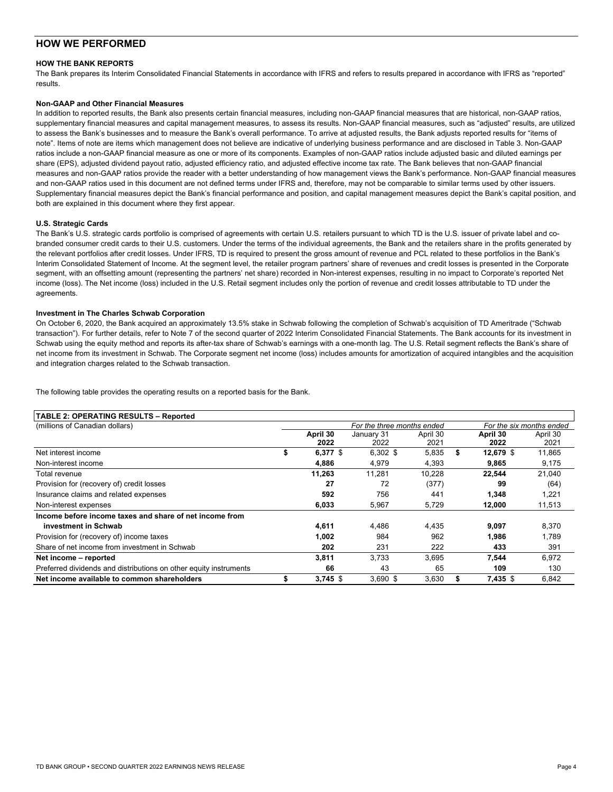## **HOW WE PERFORMED**

#### **HOW THE BANK REPORTS**

The Bank prepares its Interim Consolidated Financial Statements in accordance with IFRS and refers to results prepared in accordance with IFRS as "reported" results.

#### **Non-GAAP and Other Financial Measures**

In addition to reported results, the Bank also presents certain financial measures, including non-GAAP financial measures that are historical, non-GAAP ratios, supplementary financial measures and capital management measures, to assess its results. Non-GAAP financial measures, such as "adjusted" results, are utilized ratios include a non-GAAP financial measure as one or more of its components. Examples of non-GAAP ratios include adjusted basic and diluted earnings per measures and non-GAAP ratios provide the reader with a better understanding of how management views the Bank's performance. Non-GAAP financial measures to assess the Bank's businesses and to measure the Bank's overall performance. To arrive at adjusted results, the Bank adjusts reported results for "items of note". Items of note are items which management does not believe are indicative of underlying business performance and are disclosed in Table 3. Non-GAAP share (EPS), adjusted dividend payout ratio, adjusted efficiency ratio, and adjusted effective income tax rate. The Bank believes that non-GAAP financial and non-GAAP ratios used in this document are not defined terms under IFRS and, therefore, may not be comparable to similar terms used by other issuers. Supplementary financial measures depict the Bank's financial performance and position, and capital management measures depict the Bank's capital position, and both are explained in this document where they first appear.

#### **U.S. Strategic Cards**

 The Bank's U.S. strategic cards portfolio is comprised of agreements with certain U.S. retailers pursuant to which TD is the U.S. issuer of private label and co- segment, with an offsetting amount (representing the partners' net share) recorded in Non-interest expenses, resulting in no impact to Corporate's reported Net income (loss). The Net income (loss) included in the U.S. Retail segment includes only the portion of revenue and credit losses attributable to TD under the branded consumer credit cards to their U.S. customers. Under the terms of the individual agreements, the Bank and the retailers share in the profits generated by the relevant portfolios after credit losses. Under IFRS, TD is required to present the gross amount of revenue and PCL related to these portfolios in the Bank's Interim Consolidated Statement of Income. At the segment level, the retailer program partners' share of revenues and credit losses is presented in the Corporate agreements.

#### **Investment in The Charles Schwab Corporation**

 transaction"). For further details, refer to Note 7 of the second quarter of 2022 Interim Consolidated Financial Statements. The Bank accounts for its investment in Schwab using the equity method and reports its after-tax share of Schwab's earnings with a one-month lag. The U.S. Retail segment reflects the Bank's share of On October 6, 2020, the Bank acquired an approximately 13.5% stake in Schwab following the completion of Schwab's acquisition of TD Ameritrade ("Schwab net income from its investment in Schwab. The Corporate segment net income (loss) includes amounts for amortization of acquired intangibles and the acquisition and integration charges related to the Schwab transaction.

 The following table provides the operating results on a reported basis for the Bank.

## **TABLE 2: OPERATING RESULTS – Reported**

| <b>IADLE 4. OF LIVATING INLOCETS - INGRUITGU</b>                  |   |            |                            |          |                  |                          |
|-------------------------------------------------------------------|---|------------|----------------------------|----------|------------------|--------------------------|
| (millions of Canadian dollars)                                    |   |            | For the three months ended |          |                  | For the six months ended |
|                                                                   |   | April 30   | January 31                 | April 30 | April 30         | April 30                 |
|                                                                   |   | 2022       | 2022                       | 2021     | 2022             | 2021                     |
| Net interest income                                               | S | 6,377 $$$  | $6,302$ \$                 | 5,835    | \$<br>12,679 \$  | 11,865                   |
| Non-interest income                                               |   | 4.886      | 4,979                      | 4,393    | 9,865            | 9,175                    |
| Total revenue                                                     |   | 11,263     | 11.281                     | 10,228   | 22,544           | 21,040                   |
| Provision for (recovery of) credit losses                         |   | 27         | 72                         | (377)    | 99               | (64)                     |
| Insurance claims and related expenses                             |   | 592        | 756                        | 441      | 1.348            | 1,221                    |
| Non-interest expenses                                             |   | 6,033      | 5,967                      | 5,729    | 12,000           | 11,513                   |
| Income before income taxes and share of net income from           |   |            |                            |          |                  |                          |
| investment in Schwab                                              |   | 4,611      | 4.486                      | 4,435    | 9,097            | 8,370                    |
| Provision for (recovery of) income taxes                          |   | 1,002      | 984                        | 962      | 1.986            | 1,789                    |
| Share of net income from investment in Schwab                     |   | 202        | 231                        | 222      | 433              | 391                      |
| Net income - reported                                             |   | 3,811      | 3.733                      | 3,695    | 7.544            | 6,972                    |
| Preferred dividends and distributions on other equity instruments |   | 66         | 43                         | 65       | 109              | 130                      |
| Net income available to common shareholders                       |   | $3.745$ \$ | $3.690$ \$                 | 3,630    | \$<br>$7.435$ \$ | 6,842                    |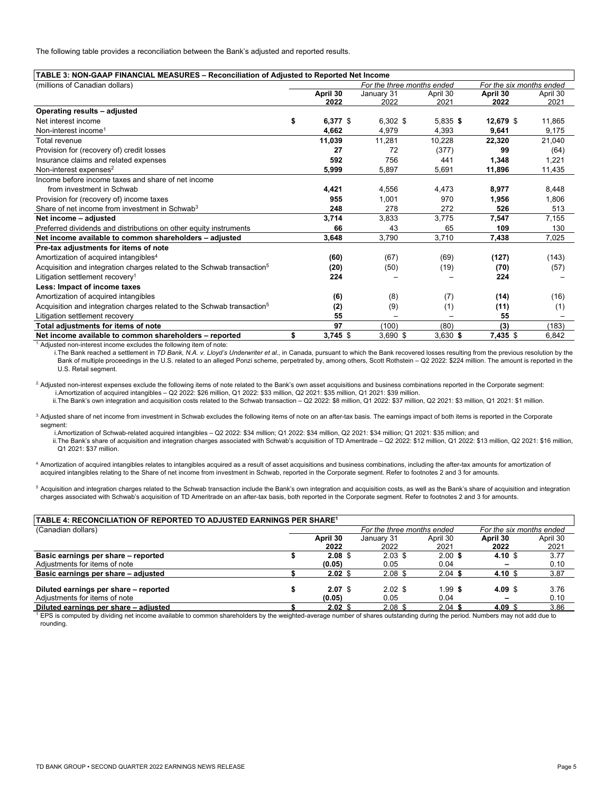The following table provides a reconciliation between the Bank's adjusted and reported results.

| TABLE 3: NON-GAAP FINANCIAL MEASURES - Reconciliation of Adjusted to Reported Net Income |                  |                            |            |                          |          |
|------------------------------------------------------------------------------------------|------------------|----------------------------|------------|--------------------------|----------|
| (millions of Canadian dollars)                                                           |                  | For the three months ended |            | For the six months ended |          |
|                                                                                          | April 30         | January 31                 | April 30   | April 30                 | April 30 |
|                                                                                          | 2022             | 2022                       | 2021       | 2022                     | 2021     |
| Operating results - adjusted                                                             |                  |                            |            |                          |          |
| Net interest income                                                                      | \$<br>$6,377$ \$ | $6,302$ \$                 | $5.835$ \$ | 12,679 \$                | 11.865   |
| Non-interest income <sup>1</sup>                                                         | 4,662            | 4,979                      | 4,393      | 9,641                    | 9,175    |
| Total revenue                                                                            | 11,039           | 11,281                     | 10,228     | 22,320                   | 21,040   |
| Provision for (recovery of) credit losses                                                | 27               | 72                         | (377)      | 99                       | (64)     |
| Insurance claims and related expenses                                                    | 592              | 756                        | 441        | 1,348                    | 1,221    |
| Non-interest expenses $2$                                                                | 5,999            | 5,897                      | 5,691      | 11,896                   | 11,435   |
| Income before income taxes and share of net income                                       |                  |                            |            |                          |          |
| from investment in Schwab                                                                | 4,421            | 4,556                      | 4.473      | 8.977                    | 8,448    |
| Provision for (recovery of) income taxes                                                 | 955              | 1.001                      | 970        | 1.956                    | 1,806    |
| Share of net income from investment in Schwab <sup>3</sup>                               | 248              | 278                        | 272        | 526                      | 513      |
| Net income - adjusted                                                                    | 3,714            | 3,833                      | 3.775      | 7,547                    | 7,155    |
| Preferred dividends and distributions on other equity instruments                        | 66               | 43                         | 65         | 109                      | 130      |
| Net income available to common shareholders - adjusted                                   | 3.648            | 3,790                      | 3,710      | 7,438                    | 7.025    |
| Pre-tax adjustments for items of note                                                    |                  |                            |            |                          |          |
| Amortization of acquired intangibles <sup>4</sup>                                        | (60)             | (67)                       | (69)       | (127)                    | (143)    |
| Acquisition and integration charges related to the Schwab transaction <sup>5</sup>       | (20)             | (50)                       | (19)       | (70)                     | (57)     |
| Litigation settlement recovery <sup>1</sup>                                              | 224              |                            |            | 224                      |          |
| Less: Impact of income taxes                                                             |                  |                            |            |                          |          |
| Amortization of acquired intangibles                                                     | (6)              | (8)                        | (7)        | (14)                     | (16)     |
| Acquisition and integration charges related to the Schwab transaction <sup>5</sup>       | (2)              | (9)                        | (1)        | (11)                     | (1)      |
| Litigation settlement recovery                                                           | 55               |                            |            | 55                       |          |
| Total adjustments for items of note                                                      | 97               | (100)                      | (80)       | (3)                      | (183)    |
| Net income available to common shareholders - reported                                   | \$<br>$3,745$ \$ | $3,690$ \$                 | $3,630$ \$ | 7,435 \$                 | 6,842    |

<sup>1.</sup> Adjusted non-interest income excludes the following item of note:

i.The Bank reached a settlement in *TD Bank, N.A. v. Lloyd's Underwriter et al.,* in Canada, pursuant to which the Bank recovered losses resulting from the previous resolution by the Bank of multiple proceedings in the U.S. related to an alleged Ponzi scheme, perpetrated by, among others, Scott Rothstein – Q2 2022: \$224 million. The amount is reported in the U.S. Retail segment.

<sup>2</sup>. Adjusted non-interest expenses exclude the following items of note related to the Bank's own asset acquisitions and business combinations reported in the Corporate segment: i.Amortization of acquired intangibles – Q2 2022: \$26 million, Q1 2022: \$33 million, Q2 2021: \$35 million, Q1 2021: \$39 million.

ii.The Bank's own integration and acquisition costs related to the Schwab transaction - Q2 2022: \$8 million, Q1 0222: \$37 million, Q2 2021: \$3 million, Q1 2021: \$1 million.

<sup>3</sup>. Adjusted share of net income from investment in Schwab excludes the following items of note on an after-tax basis. The earnings impact of both items is reported in the Corporate segment:

i.Amortization of Schwab-related acquired intangibles – Q2 2022: \$34 million; Q1 2022: \$34 million, Q2 2021: \$34 million; Q1 2021: \$35 million; and ii.The Bank's share of acquisition and integration charges associated with Schwab's acquisition of TD Ameritrade – Q2 2022: \$12 million, Q1 2022: \$13 million, Q2 2021: \$16 million, Q1 2021: \$37 million.

4 Amortization of acquired intangibles relates to intangibles acquired as a result of asset acquisitions and business combinations, including the after-tax amounts for amortization of acquired intangibles relating to the Share of net income from investment in Schwab, reported in the Corporate segment. Refer to footnotes 2 and 3 for amounts.

<sup>5</sup> Acquisition and integration charges related to the Schwab transaction include the Bank's own integration and acquisition costs, as well as the Bank's share of acquisition and integration charges associated with Schwab's acquisition of TD Ameritrade on an after-tax basis, both reported in the Corporate segment. Refer to footnotes 2 and 3 for amounts.

## **TABLE 4: RECONCILIATION OF REPORTED TO ADJUSTED EARNINGS PER SHARE1**

| (Canadian dollars)                    |          |                 | For the three months ended |           | For the six months ended |          |
|---------------------------------------|----------|-----------------|----------------------------|-----------|--------------------------|----------|
|                                       | April 30 |                 | January 31                 | April 30  | April 30                 | April 30 |
|                                       |          | 2022            | 2022                       | 2021      | 2022                     | 2021     |
| Basic earnings per share – reported   |          | $2.08$ \$       | $2.03$ \$                  | $2.00$ \$ | 4.10 \$                  | 3.77     |
| Adjustments for items of note         | (0.05)   |                 | 0.05                       | 0.04      | $\overline{\phantom{0}}$ | 0.10     |
| Basic earnings per share – adjusted   |          | $2.02$ \$       | $2.08$ \$                  | $2.04$ \$ | 4.10 $$$                 | 3.87     |
| Diluted earnings per share - reported |          | $2.07$ \$       | $2.02$ \$                  | $1.99$ \$ | $4.09$ \$                | 3.76     |
| Adjustments for items of note         | (0.05)   |                 | 0.05                       | 0.04      |                          | 0.10     |
|                                       |          |                 |                            |           | $\overline{\phantom{0}}$ |          |
| Diluted earnings per share - adjusted |          | $2.02 \text{ }$ | $2.08$ \$                  | $2.04$ \$ | 4.09 \$                  | 3.86     |

<sup>1</sup> EPS is computed by dividing net income available to common shareholders by the weighted-average number of shares outstanding during the period. Numbers may not add due to rounding.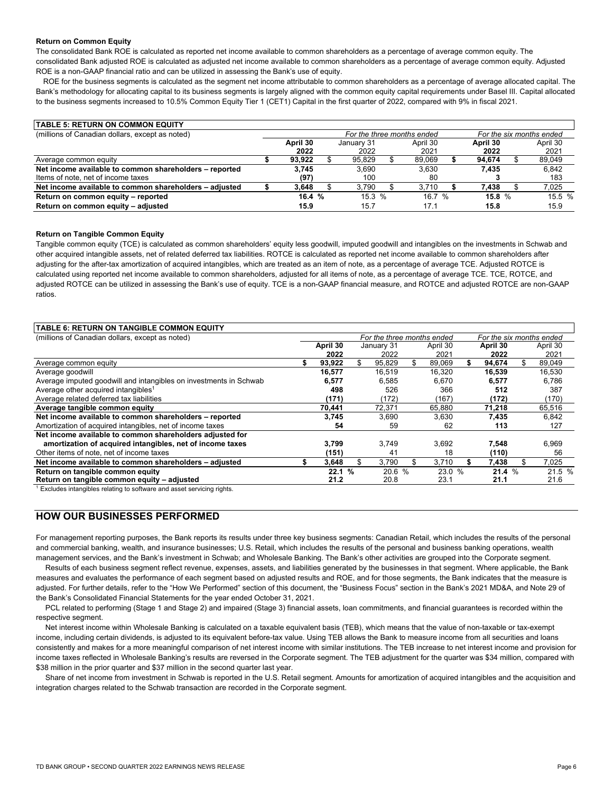#### **Return on Common Equity**

 ROE is a non-GAAP financial ratio and can be utilized in assessing the Bank's use of equity. The consolidated Bank ROE is calculated as reported net income available to common shareholders as a percentage of average common equity. The consolidated Bank adjusted ROE is calculated as adjusted net income available to common shareholders as a percentage of average common equity. Adjusted

ROE for the business segments is calculated as the segment net income attributable to common shareholders as a percentage of average allocated capital. The Bank's methodology for allocating capital to its business segments is largely aligned with the common equity capital requirements under Basel III. Capital allocated to the business segments increased to 10.5% Common Equity Tier 1 (CET1) Capital in the first quarter of 2022, compared with 9% in fiscal 2021.

| <b>TABLE 5: RETURN ON COMMON EQUITY</b>                |                                                        |          |  |            |  |          |  |          |  |          |
|--------------------------------------------------------|--------------------------------------------------------|----------|--|------------|--|----------|--|----------|--|----------|
| (millions of Canadian dollars, except as noted)        | For the three months ended<br>For the six months ended |          |  |            |  |          |  |          |  |          |
|                                                        |                                                        | April 30 |  | January 31 |  | April 30 |  | April 30 |  | April 30 |
|                                                        |                                                        | 2022     |  | 2022       |  | 2021     |  | 2022     |  | 2021     |
| Average common equity                                  |                                                        | 93.922   |  | 95.829     |  | 89.069   |  | 94.674   |  | 89,049   |
| Net income available to common shareholders - reported |                                                        | 3.745    |  | 3.690      |  | 3.630    |  | 7.435    |  | 6.842    |
| Items of note, net of income taxes                     |                                                        | (97)     |  | 100        |  | 80       |  |          |  | 183      |
| Net income available to common shareholders - adjusted |                                                        | 3.648    |  | 3.790      |  | 3.710    |  | 7.438    |  | 7,025    |
| Return on common equity - reported                     |                                                        | 16.4%    |  | 15.3%      |  | 16.7%    |  | 15.8%    |  | 15.5 %   |
| Return on common equity - adjusted                     |                                                        | 15.9     |  | 15.7       |  | 17.1     |  | 15.8     |  | 15.9     |

#### **Return on Tangible Common Equity**

 adjusting for the after-tax amortization of acquired intangibles, which are treated as an item of note, as a percentage of average TCE. Adjusted ROTCE is adjusted ROTCE can be utilized in assessing the Bank's use of equity. TCE is a non-GAAP financial measure, and ROTCE and adjusted ROTCE are non-GAAP Tangible common equity (TCE) is calculated as common shareholders' equity less goodwill, imputed goodwill and intangibles on the investments in Schwab and other acquired intangible assets, net of related deferred tax liabilities. ROTCE is calculated as reported net income available to common shareholders after calculated using reported net income available to common shareholders, adjusted for all items of note, as a percentage of average TCE. TCE, ROTCE, and ratios.

| <b>TABLE 6: RETURN ON TANGIBLE COMMON EQUITY</b>                  |          |     |                            |          |                          |     |          |
|-------------------------------------------------------------------|----------|-----|----------------------------|----------|--------------------------|-----|----------|
| (millions of Canadian dollars, except as noted)                   |          |     | For the three months ended |          | For the six months ended |     |          |
|                                                                   | April 30 |     | January 31                 | April 30 | April 30                 |     | April 30 |
|                                                                   | 2022     |     | 2022                       | 2021     | 2022                     |     | 2021     |
| Average common equity                                             | 93,922   |     | 95,829                     | 89.069   | 94.674                   |     | 89,049   |
| Average goodwill                                                  | 16,577   |     | 16,519                     | 16,320   | 16,539                   |     | 16,530   |
| Average imputed goodwill and intangibles on investments in Schwab | 6,577    |     | 6,585                      | 6,670    | 6,577                    |     | 6,786    |
| Average other acquired intangibles <sup>1</sup>                   | 498      |     | 526                        | 366      | 512                      |     | 387      |
| Average related deferred tax liabilities                          | (171)    |     | (172)                      | (167)    | (172)                    |     | (170)    |
| Average tangible common equity                                    | 70,441   |     | 72,371                     | 65,880   | 71,218                   |     | 65,516   |
| Net income available to common shareholders - reported            | 3,745    |     | 3,690                      | 3,630    | 7,435                    |     | 6,842    |
| Amortization of acquired intangibles, net of income taxes         | 54       |     | 59                         | 62       | 113                      |     | 127      |
| Net income available to common shareholders adjusted for          |          |     |                            |          |                          |     |          |
| amortization of acquired intangibles, net of income taxes         | 3,799    |     | 3.749                      | 3,692    | 7,548                    |     | 6,969    |
| Other items of note, net of income taxes                          | (151)    |     | 41                         | 18       | (110)                    |     | 56       |
| Net income available to common shareholders - adjusted            | 3,648    | \$. | 3.790                      | 3,710    | 7.438                    | \$. | 7,025    |
| Return on tangible common equity                                  | 22.1%    |     | 20.6 %                     | 23.0 %   | 21.4%                    |     | 21.5 %   |
| Return on tangible common equity - adjusted                       | 21.2     |     | 20.8                       | 23.1     | 21.1                     |     | 21.6     |

<sup>1</sup> Excludes intangibles relating to software and asset servicing rights.

## **HOW OUR BUSINESSES PERFORMED**

For management reporting purposes, the Bank reports its results under three key business segments: Canadian Retail, which includes the results of the personal and commercial banking, wealth, and insurance businesses; U.S. Retail, which includes the results of the personal and business banking operations, wealth management services, and the Bank's investment in Schwab; and Wholesale Banking. The Bank's other activities are grouped into the Corporate segment.

 Results of each business segment reflect revenue, expenses, assets, and liabilities generated by the businesses in that segment. Where applicable, the Bank measures and evaluates the performance of each segment based on adjusted results and ROE, and for those segments, the Bank indicates that the measure is adjusted. For further details, refer to the "How We Performed" section of this document, the "Business Focus" section in the Bank's 2021 MD&A, and Note 29 of the Bank's Consolidated Financial Statements for the year ended October 31, 2021.

PCL related to performing (Stage 1 and Stage 2) and impaired (Stage 3) financial assets, loan commitments, and financial guarantees is recorded within the respective segment.

 \$38 million in the prior quarter and \$37 million in the second quarter last year. Net interest income within Wholesale Banking is calculated on a taxable equivalent basis (TEB), which means that the value of non-taxable or tax-exempt income, including certain dividends, is adjusted to its equivalent before-tax value. Using TEB allows the Bank to measure income from all securities and loans consistently and makes for a more meaningful comparison of net interest income with similar institutions. The TEB increase to net interest income and provision for income taxes reflected in Wholesale Banking's results are reversed in the Corporate segment. The TEB adjustment for the quarter was \$34 million, compared with

Share of net income from investment in Schwab is reported in the U.S. Retail segment. Amounts for amortization of acquired intangibles and the acquisition and integration charges related to the Schwab transaction are recorded in the Corporate segment.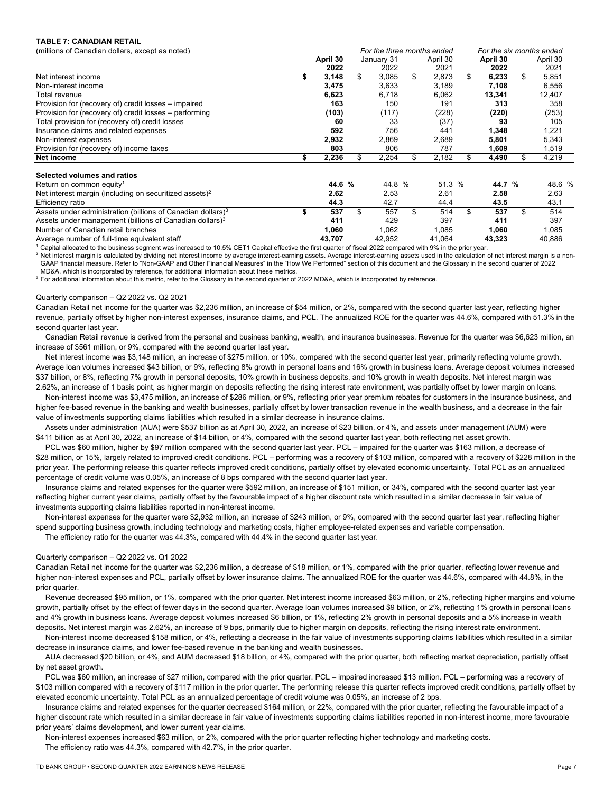| (millions of Canadian dollars, except as noted)<br>For the three months ended<br>For the six months ended<br>April 30<br>January 31<br>April 30<br>April 30<br>April 30<br>2022<br>2021<br>2021<br>2022<br>2022<br>\$<br>\$<br>\$<br>3,085<br>2,873<br>6,233<br>5,851<br>Net interest income<br>3,148<br>3,475<br>3,633<br>3,189<br>7,108<br>6,556<br>Non-interest income<br>6,718<br>13,341<br>12,407<br>6,623<br>6,062<br>Total revenue<br>Provision for (recovery of) credit losses – impaired<br>163<br>150<br>313<br>358<br>191<br>(103)<br>(117)<br>(228)<br>(253)<br>Provision for (recovery of) credit losses – performing<br>(220)<br>60<br>33<br>93<br>105<br>(37)<br>Total provision for (recovery of) credit losses<br>Insurance claims and related expenses<br>592<br>756<br>441<br>1,348<br>1,221<br>2,932<br>2,869<br>2,689<br>5,801<br>Non-interest expenses<br>5,343<br>Provision for (recovery of) income taxes<br>803<br>806<br>1,519<br>787<br>1,609<br>Net income<br>2,236<br>2,254<br>\$<br>4,219<br>2,182<br>4,490<br>\$.<br>Selected volumes and ratios<br>44.6 %<br>44.8 %<br>51.3 %<br>48.6 %<br>44.7 %<br>Return on common equity <sup>1</sup><br>2.62<br>2.63<br>Net interest margin (including on securitized assets) <sup>2</sup><br>2.53<br>2.61<br>2.58<br>42.7<br>43.1<br>44.3<br>44.4<br>43.5<br>Efficiency ratio<br>Assets under administration (billions of Canadian dollars) <sup>3</sup><br>\$<br>\$<br>514<br>537<br>557<br>537<br>514<br>Assets under management (billions of Canadian dollars) <sup>3</sup><br>429<br>397<br>411<br>397<br>411<br>Number of Canadian retail branches<br>1,060<br>1,062<br>1,085<br>1,060<br>1,085<br>Average number of full-time equivalent staff<br>43,707<br>42,952<br>41,064<br>40,886<br>43,323<br>$\overline{a}$ . The set of $\overline{a}$ is the set of $\overline{a}$ in the set of $\overline{a}$<br>$\cdots$ | <b>TABLE 7: CANADIAN RETAIL</b> |  |  |  |  |  |
|--------------------------------------------------------------------------------------------------------------------------------------------------------------------------------------------------------------------------------------------------------------------------------------------------------------------------------------------------------------------------------------------------------------------------------------------------------------------------------------------------------------------------------------------------------------------------------------------------------------------------------------------------------------------------------------------------------------------------------------------------------------------------------------------------------------------------------------------------------------------------------------------------------------------------------------------------------------------------------------------------------------------------------------------------------------------------------------------------------------------------------------------------------------------------------------------------------------------------------------------------------------------------------------------------------------------------------------------------------------------------------------------------------------------------------------------------------------------------------------------------------------------------------------------------------------------------------------------------------------------------------------------------------------------------------------------------------------------------------------------------------------------------------------------------------------------------------------------------------------------------------------------------|---------------------------------|--|--|--|--|--|
|                                                                                                                                                                                                                                                                                                                                                                                                                                                                                                                                                                                                                                                                                                                                                                                                                                                                                                                                                                                                                                                                                                                                                                                                                                                                                                                                                                                                                                                                                                                                                                                                                                                                                                                                                                                                                                                                                                  |                                 |  |  |  |  |  |
|                                                                                                                                                                                                                                                                                                                                                                                                                                                                                                                                                                                                                                                                                                                                                                                                                                                                                                                                                                                                                                                                                                                                                                                                                                                                                                                                                                                                                                                                                                                                                                                                                                                                                                                                                                                                                                                                                                  |                                 |  |  |  |  |  |
|                                                                                                                                                                                                                                                                                                                                                                                                                                                                                                                                                                                                                                                                                                                                                                                                                                                                                                                                                                                                                                                                                                                                                                                                                                                                                                                                                                                                                                                                                                                                                                                                                                                                                                                                                                                                                                                                                                  |                                 |  |  |  |  |  |
|                                                                                                                                                                                                                                                                                                                                                                                                                                                                                                                                                                                                                                                                                                                                                                                                                                                                                                                                                                                                                                                                                                                                                                                                                                                                                                                                                                                                                                                                                                                                                                                                                                                                                                                                                                                                                                                                                                  |                                 |  |  |  |  |  |
|                                                                                                                                                                                                                                                                                                                                                                                                                                                                                                                                                                                                                                                                                                                                                                                                                                                                                                                                                                                                                                                                                                                                                                                                                                                                                                                                                                                                                                                                                                                                                                                                                                                                                                                                                                                                                                                                                                  |                                 |  |  |  |  |  |
|                                                                                                                                                                                                                                                                                                                                                                                                                                                                                                                                                                                                                                                                                                                                                                                                                                                                                                                                                                                                                                                                                                                                                                                                                                                                                                                                                                                                                                                                                                                                                                                                                                                                                                                                                                                                                                                                                                  |                                 |  |  |  |  |  |
|                                                                                                                                                                                                                                                                                                                                                                                                                                                                                                                                                                                                                                                                                                                                                                                                                                                                                                                                                                                                                                                                                                                                                                                                                                                                                                                                                                                                                                                                                                                                                                                                                                                                                                                                                                                                                                                                                                  |                                 |  |  |  |  |  |
|                                                                                                                                                                                                                                                                                                                                                                                                                                                                                                                                                                                                                                                                                                                                                                                                                                                                                                                                                                                                                                                                                                                                                                                                                                                                                                                                                                                                                                                                                                                                                                                                                                                                                                                                                                                                                                                                                                  |                                 |  |  |  |  |  |
|                                                                                                                                                                                                                                                                                                                                                                                                                                                                                                                                                                                                                                                                                                                                                                                                                                                                                                                                                                                                                                                                                                                                                                                                                                                                                                                                                                                                                                                                                                                                                                                                                                                                                                                                                                                                                                                                                                  |                                 |  |  |  |  |  |
|                                                                                                                                                                                                                                                                                                                                                                                                                                                                                                                                                                                                                                                                                                                                                                                                                                                                                                                                                                                                                                                                                                                                                                                                                                                                                                                                                                                                                                                                                                                                                                                                                                                                                                                                                                                                                                                                                                  |                                 |  |  |  |  |  |
|                                                                                                                                                                                                                                                                                                                                                                                                                                                                                                                                                                                                                                                                                                                                                                                                                                                                                                                                                                                                                                                                                                                                                                                                                                                                                                                                                                                                                                                                                                                                                                                                                                                                                                                                                                                                                                                                                                  |                                 |  |  |  |  |  |
|                                                                                                                                                                                                                                                                                                                                                                                                                                                                                                                                                                                                                                                                                                                                                                                                                                                                                                                                                                                                                                                                                                                                                                                                                                                                                                                                                                                                                                                                                                                                                                                                                                                                                                                                                                                                                                                                                                  |                                 |  |  |  |  |  |
|                                                                                                                                                                                                                                                                                                                                                                                                                                                                                                                                                                                                                                                                                                                                                                                                                                                                                                                                                                                                                                                                                                                                                                                                                                                                                                                                                                                                                                                                                                                                                                                                                                                                                                                                                                                                                                                                                                  |                                 |  |  |  |  |  |
|                                                                                                                                                                                                                                                                                                                                                                                                                                                                                                                                                                                                                                                                                                                                                                                                                                                                                                                                                                                                                                                                                                                                                                                                                                                                                                                                                                                                                                                                                                                                                                                                                                                                                                                                                                                                                                                                                                  |                                 |  |  |  |  |  |
|                                                                                                                                                                                                                                                                                                                                                                                                                                                                                                                                                                                                                                                                                                                                                                                                                                                                                                                                                                                                                                                                                                                                                                                                                                                                                                                                                                                                                                                                                                                                                                                                                                                                                                                                                                                                                                                                                                  |                                 |  |  |  |  |  |
|                                                                                                                                                                                                                                                                                                                                                                                                                                                                                                                                                                                                                                                                                                                                                                                                                                                                                                                                                                                                                                                                                                                                                                                                                                                                                                                                                                                                                                                                                                                                                                                                                                                                                                                                                                                                                                                                                                  |                                 |  |  |  |  |  |
|                                                                                                                                                                                                                                                                                                                                                                                                                                                                                                                                                                                                                                                                                                                                                                                                                                                                                                                                                                                                                                                                                                                                                                                                                                                                                                                                                                                                                                                                                                                                                                                                                                                                                                                                                                                                                                                                                                  |                                 |  |  |  |  |  |
|                                                                                                                                                                                                                                                                                                                                                                                                                                                                                                                                                                                                                                                                                                                                                                                                                                                                                                                                                                                                                                                                                                                                                                                                                                                                                                                                                                                                                                                                                                                                                                                                                                                                                                                                                                                                                                                                                                  |                                 |  |  |  |  |  |
|                                                                                                                                                                                                                                                                                                                                                                                                                                                                                                                                                                                                                                                                                                                                                                                                                                                                                                                                                                                                                                                                                                                                                                                                                                                                                                                                                                                                                                                                                                                                                                                                                                                                                                                                                                                                                                                                                                  |                                 |  |  |  |  |  |
|                                                                                                                                                                                                                                                                                                                                                                                                                                                                                                                                                                                                                                                                                                                                                                                                                                                                                                                                                                                                                                                                                                                                                                                                                                                                                                                                                                                                                                                                                                                                                                                                                                                                                                                                                                                                                                                                                                  |                                 |  |  |  |  |  |
|                                                                                                                                                                                                                                                                                                                                                                                                                                                                                                                                                                                                                                                                                                                                                                                                                                                                                                                                                                                                                                                                                                                                                                                                                                                                                                                                                                                                                                                                                                                                                                                                                                                                                                                                                                                                                                                                                                  |                                 |  |  |  |  |  |

Capital allocated to the business segment was increased to 10.5% CET1 Capital effective the first quarter of fiscal 2022 compared with 9% in the prior year.

<sup>2</sup> Net interest margin is calculated by dividing net interest income by average interest-earning assets. Average interest-earning assets used in the calculation of net interest margin is a non-GAAP financial measure. Refer to "Non-GAAP and Other Financial Measures" in the "How We Performed" section of this document and the Glossary in the second quarter of 2022 MD&A, which is incorporated by reference, for additional information about these metrics.

<sup>3</sup> For additional information about this metric, refer to the Glossary in the second quarter of 2022 MD&A, which is incorporated by reference.

#### Quarterly comparison – Q2 2022 vs. Q2 2021

 Canadian Retail net income for the quarter was \$2,236 million, an increase of \$54 million, or 2%, compared with the second quarter last year, reflecting higher revenue, partially offset by higher non-interest expenses, insurance claims, and PCL. The annualized ROE for the quarter was 44.6%, compared with 51.3% in the second quarter last year.

 Canadian Retail revenue is derived from the personal and business banking, wealth, and insurance businesses. Revenue for the quarter was \$6,623 million, an increase of \$561 million, or 9%, compared with the second quarter last year.

Net interest income was \$3,148 million, an increase of \$275 million, or 10%, compared with the second quarter last year, primarily reflecting volume growth. Average loan volumes increased \$43 billion, or 9%, reflecting 8% growth in personal loans and 16% growth in business loans. Average deposit volumes increased \$37 billion, or 8%, reflecting 7% growth in personal deposits, 10% growth in business deposits, and 10% growth in wealth deposits. Net interest margin was 2.62%, an increase of 1 basis point, as higher margin on deposits reflecting the rising interest rate environment, was partially offset by lower margin on loans.

 Non-interest income was \$3,475 million, an increase of \$286 million, or 9%, reflecting prior year premium rebates for customers in the insurance business, and higher fee-based revenue in the banking and wealth businesses, partially offset by lower transaction revenue in the wealth business, and a decrease in the fair value of investments supporting claims liabilities which resulted in a similar decrease in insurance claims.

 \$411 billion as at April 30, 2022, an increase of \$14 billion, or 4%, compared with the second quarter last year, both reflecting net asset growth. Assets under administration (AUA) were \$537 billion as at April 30, 2022, an increase of \$23 billion, or 4%, and assets under management (AUM) were

 \$28 million, or 15%, largely related to improved credit conditions. PCL – performing was a recovery of \$103 million, compared with a recovery of \$228 million in the PCL was \$60 million, higher by \$97 million compared with the second quarter last year. PCL – impaired for the quarter was \$163 million, a decrease of prior year. The performing release this quarter reflects improved credit conditions, partially offset by elevated economic uncertainty. Total PCL as an annualized percentage of credit volume was 0.05%, an increase of 8 bps compared with the second quarter last year.

 Insurance claims and related expenses for the quarter were \$592 million, an increase of \$151 million, or 34%, compared with the second quarter last year investments supporting claims liabilities reported in non-interest income. reflecting higher current year claims, partially offset by the favourable impact of a higher discount rate which resulted in a similar decrease in fair value of

Non-interest expenses for the quarter were \$2,932 million, an increase of \$243 million, or 9%, compared with the second quarter last year, reflecting higher spend supporting business growth, including technology and marketing costs, higher employee-related expenses and variable compensation.

The efficiency ratio for the quarter was 44.3%, compared with 44.4% in the second quarter last year.

#### Quarterly comparison – Q2 2022 vs. Q1 2022

Canadian Retail net income for the quarter was \$2,236 million, a decrease of \$18 million, or 1%, compared with the prior quarter, reflecting lower revenue and higher non-interest expenses and PCL, partially offset by lower insurance claims. The annualized ROE for the quarter was 44.6%, compared with 44.8%, in the prior quarter.

Revenue decreased \$95 million, or 1%, compared with the prior quarter. Net interest income increased \$63 million, or 2%, reflecting higher margins and volume growth, partially offset by the effect of fewer days in the second quarter. Average loan volumes increased \$9 billion, or 2%, reflecting 1% growth in personal loans and 4% growth in business loans. Average deposit volumes increased \$6 billion, or 1%, reflecting 2% growth in personal deposits and a 5% increase in wealth deposits. Net interest margin was 2.62%, an increase of 9 bps, primarily due to higher margin on deposits, reflecting the rising interest rate environment.

 Non-interest income decreased \$158 million, or 4%, reflecting a decrease in the fair value of investments supporting claims liabilities which resulted in a similar decrease in insurance claims, and lower fee-based revenue in the banking and wealth businesses.

AUA decreased \$20 billion, or 4%, and AUM decreased \$18 billion, or 4%, compared with the prior quarter, both reflecting market depreciation, partially offset by net asset growth.

PCL was \$60 million, an increase of \$27 million, compared with the prior quarter. PCL – impaired increased \$13 million. PCL – performing was a recovery of \$103 million compared with a recovery of \$117 million in the prior quarter. The performing release this quarter reflects improved credit conditions, partially offset by elevated economic uncertainty. Total PCL as an annualized percentage of credit volume was 0.05%, an increase of 2 bps.

 higher discount rate which resulted in a similar decrease in fair value of investments supporting claims liabilities reported in non-interest income, more favourable Insurance claims and related expenses for the quarter decreased \$164 million, or 22%, compared with the prior quarter, reflecting the favourable impact of a prior years' claims development, and lower current year claims.

Non-interest expenses increased \$63 million, or 2%, compared with the prior quarter reflecting higher technology and marketing costs. The efficiency ratio was 44.3%, compared with 42.7%, in the prior quarter.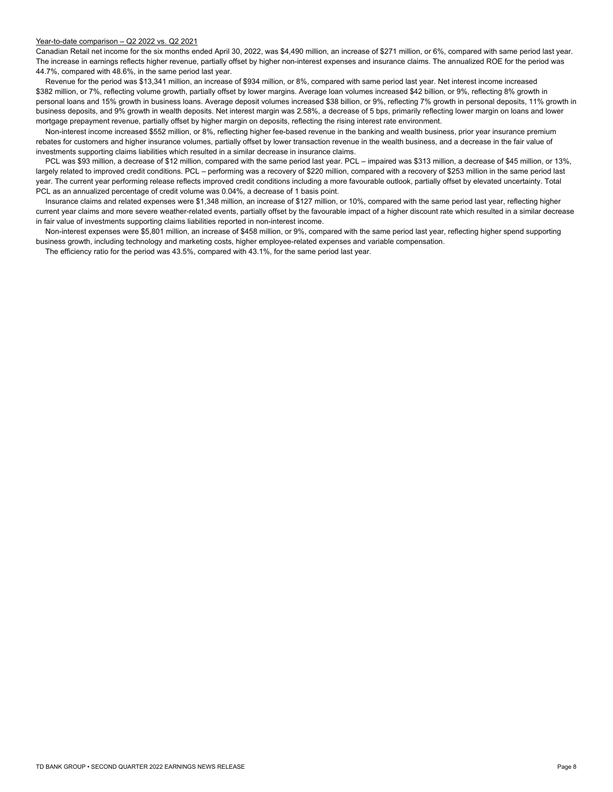#### Year-to-date comparison – Q2 2022 vs. Q2 2021

 Canadian Retail net income for the six months ended April 30, 2022, was \$4,490 million, an increase of \$271 million, or 6%, compared with same period last year. 44.7%, compared with 48.6%, in the same period last year. The increase in earnings reflects higher revenue, partially offset by higher non-interest expenses and insurance claims. The annualized ROE for the period was

 mortgage prepayment revenue, partially offset by higher margin on deposits, reflecting the rising interest rate environment. Revenue for the period was \$13,341 million, an increase of \$934 million, or 8%, compared with same period last year. Net interest income increased \$382 million, or 7%, reflecting volume growth, partially offset by lower margins. Average loan volumes increased \$42 billion, or 9%, reflecting 8% growth in personal loans and 15% growth in business loans. Average deposit volumes increased \$38 billion, or 9%, reflecting 7% growth in personal deposits, 11% growth in business deposits, and 9% growth in wealth deposits. Net interest margin was 2.58%, a decrease of 5 bps, primarily reflecting lower margin on loans and lower

 investments supporting claims liabilities which resulted in a similar decrease in insurance claims. Non-interest income increased \$552 million, or 8%, reflecting higher fee-based revenue in the banking and wealth business, prior year insurance premium rebates for customers and higher insurance volumes, partially offset by lower transaction revenue in the wealth business, and a decrease in the fair value of

 largely related to improved credit conditions. PCL – performing was a recovery of \$220 million, compared with a recovery of \$253 million in the same period last year. The current year performing release reflects improved credit conditions including a more favourable outlook, partially offset by elevated uncertainty. Total PCL was \$93 million, a decrease of \$12 million, compared with the same period last year. PCL – impaired was \$313 million, a decrease of \$45 million, or 13%, PCL as an annualized percentage of credit volume was 0.04%, a decrease of 1 basis point.

in fair value of investments supporting claims liabilities reported in non-interest income. in fair value of investments supporting claims liabilities reported in non-interest income.<br>Non-interest expenses were \$5,801 million, an increase of \$458 million, or 9%, compared with the same period last year, reflecting Insurance claims and related expenses were \$1,348 million, an increase of \$127 million, or 10%, compared with the same period last year, reflecting higher current year claims and more severe weather-related events, partially offset by the favourable impact of a higher discount rate which resulted in a similar decrease

business growth, including technology and marketing costs, higher employee-related expenses and variable compensation.

The efficiency ratio for the period was 43.5%, compared with 43.1%, for the same period last year.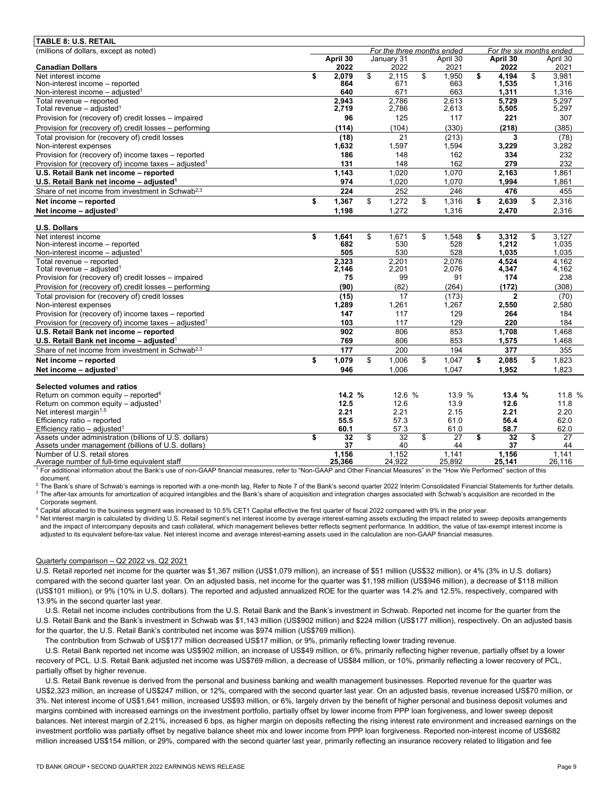| <b>TABLE 8: U.S. RETAIL</b>                                                                                |          |                |                            |                         |                 |                          |                |
|------------------------------------------------------------------------------------------------------------|----------|----------------|----------------------------|-------------------------|-----------------|--------------------------|----------------|
| (millions of dollars, except as noted)                                                                     |          |                | For the three months ended |                         |                 | For the six months ended |                |
|                                                                                                            | April 30 |                | January 31                 |                         | April 30        | April 30                 | April 30       |
| <b>Canadian Dollars</b>                                                                                    |          | 2022           | 2022                       |                         | 2021            | 2022                     | 2021           |
| Net interest income<br>\$                                                                                  |          | 2.079          | \$<br>2.115                | \$                      | 1,950           | \$<br>4.194              | \$<br>3.981    |
| Non-interest income - reported                                                                             |          | 864            | 671                        |                         | 663             | 1,535                    | 1.316          |
| Non-interest income $-$ adjusted <sup>1</sup>                                                              |          | 640            | 671                        |                         | 663             | 1.311                    | 1.316          |
| Total revenue - reported<br>Total revenue - adjusted <sup>1</sup>                                          |          | 2.943<br>2,719 | 2.786<br>2,786             |                         | 2.613<br>2,613  | 5.729<br>5,505           | 5.297<br>5,297 |
| Provision for (recovery of) credit losses - impaired                                                       |          | 96             | 125                        |                         | 117             | 221                      | 307            |
|                                                                                                            |          |                |                            |                         |                 |                          |                |
| Provision for (recovery of) credit losses - performing                                                     |          | (114)          | (104)                      |                         | (330)           | (218)                    | (385)          |
| Total provision for (recovery of) credit losses                                                            |          | (18)           | 21                         |                         | (213)           | 3                        | (78)           |
| Non-interest expenses                                                                                      |          | 1,632          | 1.597                      |                         | 1,594           | 3,229                    | 3,282          |
| Provision for (recovery of) income taxes - reported                                                        |          | 186            | 148                        |                         | 162             | 334                      | 232            |
| Provision for (recovery of) income taxes - adjusted <sup>1</sup><br>U.S. Retail Bank net income - reported |          | 131<br>1,143   | 148<br>1,020               |                         | 162<br>1.070    | 279<br>2,163             | 232<br>1,861   |
|                                                                                                            |          |                |                            |                         |                 |                          |                |
| U.S. Retail Bank net income - adjusted <sup>1</sup>                                                        |          | 974            | 1,020                      |                         | 1,070           | 1,994                    | 1,861          |
| Share of net income from investment in Schwab <sup>2,3</sup>                                               |          | 224            | 252                        |                         | 246             | 476                      | 455            |
| \$<br>Net income - reported                                                                                |          | 1,367          | \$<br>1,272                | \$                      | 1,316           | \$<br>2,639              | \$<br>2,316    |
| Net income $-$ adjusted <sup>1</sup>                                                                       |          | 1,198          | 1,272                      |                         | 1,316           | 2,470                    | 2,316          |
| <b>U.S. Dollars</b>                                                                                        |          |                |                            |                         |                 |                          |                |
| \$<br>Net interest income                                                                                  |          | 1.641          | \$<br>1.671                | \$                      | 1.548           | \$<br>3,312              | \$<br>3.127    |
| Non-interest income - reported                                                                             |          | 682            | 530                        |                         | 528             | 1.212                    | 1.035          |
| Non-interest income $-$ adiusted <sup>1</sup>                                                              |          | 505            | 530                        |                         | 528             | 1.035                    | 1.035          |
| Total revenue - reported                                                                                   |          | 2.323          | 2.201                      |                         | 2.076           | 4.524                    | 4.162          |
| Total revenue $-$ adjusted <sup>1</sup>                                                                    |          | 2,146          | 2,201                      |                         | 2,076           | 4,347                    | 4,162          |
| Provision for (recovery of) credit losses - impaired                                                       |          | 75             | 99                         |                         | 91              | 174                      | 238            |
| Provision for (recovery of) credit losses - performing                                                     |          | (90)           | (82)                       |                         | (264)           | (172)                    | (308)          |
| Total provision for (recovery of) credit losses                                                            |          | (15)           | 17                         |                         | (173)           | $\mathbf{2}$             | (70)           |
| Non-interest expenses                                                                                      |          | 1,289          | 1,261                      |                         | 1,267           | 2,550                    | 2,580          |
| Provision for (recovery of) income taxes - reported                                                        |          | 147            | 117                        |                         | 129             | 264                      | 184            |
| Provision for (recovery of) income taxes - adjusted <sup>1</sup>                                           |          | 103            | 117                        |                         | 129             | 220                      | 184            |
| U.S. Retail Bank net income - reported                                                                     |          | 902            | 806                        |                         | 853             | 1,708                    | 1,468          |
| U.S. Retail Bank net income - adjusted <sup>1</sup>                                                        |          | 769            | 806                        |                         | 853             | 1,575                    | 1,468          |
| Share of net income from investment in Schwab <sup>2,3</sup>                                               |          | 177            | 200                        |                         | 194             | 377                      | 355            |
| Net income - reported<br>\$                                                                                |          | 1,079          | \$<br>1,006                | \$                      | 1,047           | \$<br>2,085              | \$<br>1,823    |
| Net income - adjusted <sup>1</sup>                                                                         |          | 946            | 1,006                      |                         | 1,047           | 1,952                    | 1,823          |
|                                                                                                            |          |                |                            |                         |                 |                          |                |
| Selected volumes and ratios                                                                                |          |                |                            |                         |                 |                          |                |
| Return on common equity - reported <sup>4</sup>                                                            |          | 14.2 %<br>12.5 | 12.6 %<br>12.6             |                         | 13.9 %          | 13.4 %<br>12.6           | 11.8 %<br>11.8 |
| Return on common equity - adjusted <sup>1</sup><br>Net interest margin <sup>1,5</sup>                      |          | 2.21           | 2.21                       |                         | 13.9<br>2.15    | 2.21                     | 2.20           |
| Efficiency ratio - reported                                                                                |          | 55.5           | 57.3                       |                         | 61.0            | 56.4                     | 62.0           |
| Efficiency ratio - adjusted <sup>1</sup>                                                                   |          | 60.1           | 57.3                       |                         | 61.0            | 58.7                     | 62.0           |
| Assets under administration (billions of U.S. dollars)<br>\$                                               |          | 32             | \$<br>32                   | $\overline{\mathbb{S}}$ | $\overline{27}$ | \$<br>32                 | \$<br>27       |
| Assets under management (billions of U.S. dollars)                                                         |          | 37             | 40                         |                         | 44              | 37                       | 44             |
| Number of U.S. retail stores                                                                               |          | 1,156          | 1.152                      |                         | 1.141           | 1.156                    | 1,141          |
| Average number of full-time equivalent staff                                                               | 25.366   |                | 24,922                     |                         | 25,892          | 25,141                   | 26,116         |

<sup>1</sup> For additional information about the Bank's use of non-GAAP financial measures, refer to "Non-GAAP and Other Financial Measures" in the "How We Performed" section of this document.<br><sup>2</sup> The Bank's share of Schwab's earnings is reported with a one-month lag. Refer to Note 7 of the Bank's second quarter 2022 Interim Consolidated Financial Statements for further details.

<sup>3</sup> The after-tax amounts for amortization of acquired intangibles and the Bank's share of acquisition and integration charges associated with Schwab's acquisition are recorded in the Corporate segment.

4 Capital allocated to the business segment was increased to 10.5% CET1 Capital effective the first quarter of fiscal 2022 compared with 9% in the prior year.

<sup>5</sup> Net interest margin is calculated by dividing U.S. Retail segment's net interest income by average interest-earning assets excluding the impact related to sweep deposits arrangements and the impact of intercompany deposits and cash collateral, which management believes better reflects segment performance. In addition, the value of tax-exempt interest income is adjusted to its equivalent before-tax value. Net interest income and average interest-earning assets used in the calculation are non-GAAP financial measures.

## Quarterly comparison – Q2 2022 vs. Q2 2021

U.S. Retail reported net income for the quarter was \$1,367 million (US\$1,079 million), an increase of \$51 million (US\$32 million), or 4% (3% in U.S. dollars) compared with the second quarter last year. On an adjusted basis, net income for the quarter was \$1,198 million (US\$946 million), a decrease of \$118 million (US\$101 million), or 9% (10% in U.S. dollars). The reported and adjusted annualized ROE for the quarter was 14.2% and 12.5%, respectively, compared with 13.9% in the second quarter last year.

U.S. Retail net income includes contributions from the U.S. Retail Bank and the Bank's investment in Schwab. Reported net income for the quarter from the U.S. Retail Bank and the Bank's investment in Schwab was \$1,143 million (US\$902 million) and \$224 million (US\$177 million), respectively. On an adjusted basis for the quarter, the U.S. Retail Bank's contributed net income was \$974 million (US\$769 million).

The contribution from Schwab of US\$177 million decreased US\$17 million, or 9%, primarily reflecting lower trading revenue.

 recovery of PCL. U.S. Retail Bank adjusted net income was US\$769 million, a decrease of US\$84 million, or 10%, primarily reflecting a lower recovery of PCL, partially offset by higher revenue. U.S. Retail Bank reported net income was US\$902 million, an increase of US\$49 million, or 6%, primarily reflecting higher revenue, partially offset by a lower

 U.S. Retail Bank revenue is derived from the personal and business banking and wealth management businesses. Reported revenue for the quarter was investment portfolio was partially offset by negative balance sheet mix and lower income from PPP loan forgiveness. Reported non-interest income of US\$682 US\$2,323 million, an increase of US\$247 million, or 12%, compared with the second quarter last year. On an adjusted basis, revenue increased US\$70 million, or 3%. Net interest income of US\$1,641 million, increased US\$93 million, or 6%, largely driven by the benefit of higher personal and business deposit volumes and margins combined with increased earnings on the investment portfolio, partially offset by lower income from PPP loan forgiveness, and lower sweep deposit balances. Net interest margin of 2.21%, increased 6 bps, as higher margin on deposits reflecting the rising interest rate environment and increased earnings on the million increased US\$154 million, or 29%, compared with the second quarter last year, primarily reflecting an insurance recovery related to litigation and fee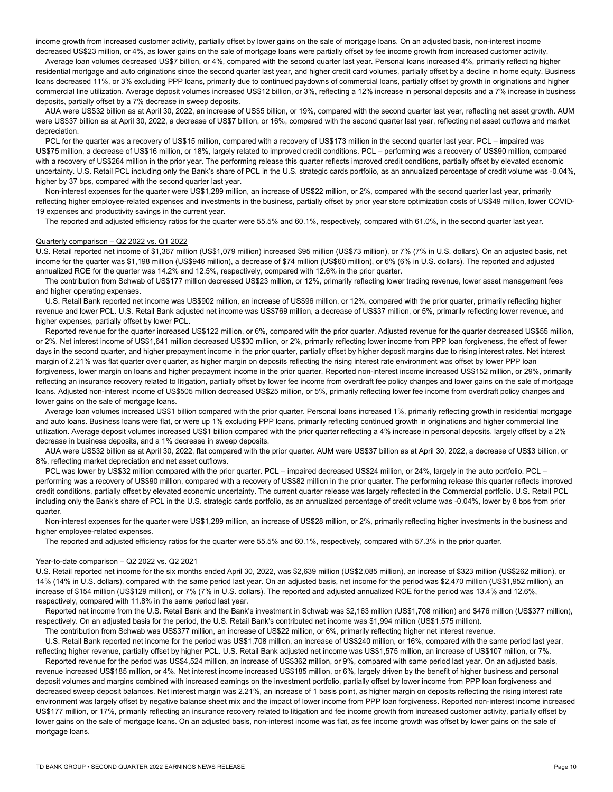income growth from increased customer activity, partially offset by lower gains on the sale of mortgage loans. On an adjusted basis, non-interest income decreased US\$23 million, or 4%, as lower gains on the sale of mortgage loans were partially offset by fee income growth from increased customer activity.

 Average loan volumes decreased US\$7 billion, or 4%, compared with the second quarter last year. Personal loans increased 4%, primarily reflecting higher commercial line utilization. Average deposit volumes increased US\$12 billion, or 3%, reflecting a 12% increase in personal deposits and a 7% increase in business residential mortgage and auto originations since the second quarter last year, and higher credit card volumes, partially offset by a decline in home equity. Business loans decreased 11%, or 3% excluding PPP loans, primarily due to continued paydowns of commercial loans, partially offset by growth in originations and higher deposits, partially offset by a 7% decrease in sweep deposits.

AUA were US\$32 billion as at April 30, 2022, an increase of US\$5 billion, or 19%, compared with the second quarter last year, reflecting net asset growth. AUM were US\$37 billion as at April 30, 2022, a decrease of US\$7 billion, or 16%, compared with the second quarter last year, reflecting net asset outflows and market depreciation.

 higher by 37 bps, compared with the second quarter last year. PCL for the quarter was a recovery of US\$15 million, compared with a recovery of US\$173 million in the second quarter last year. PCL – impaired was US\$75 million, a decrease of US\$16 million, or 18%, largely related to improved credit conditions. PCL – performing was a recovery of US\$90 million, compared with a recovery of US\$264 million in the prior year. The performing release this quarter reflects improved credit conditions, partially offset by elevated economic uncertainty. U.S. Retail PCL including only the Bank's share of PCL in the U.S. strategic cards portfolio, as an annualized percentage of credit volume was -0.04%,

 Non-interest expenses for the quarter were US\$1,289 million, an increase of US\$22 million, or 2%, compared with the second quarter last year, primarily reflecting higher employee-related expenses and investments in the business, partially offset by prior year store optimization costs of US\$49 million, lower COVID-19 expenses and productivity savings in the current year.

The reported and adjusted efficiency ratios for the quarter were 55.5% and 60.1%, respectively, compared with 61.0%, in the second quarter last year.

### Quarterly comparison – Q2 2022 vs. Q1 2022

U.S. Retail reported net income of \$1,367 million (US\$1,079 million) increased \$95 million (US\$73 million), or 7% (7% in U.S. dollars). On an adjusted basis, net income for the quarter was \$1,198 million (US\$946 million), a decrease of \$74 million (US\$60 million), or 6% (6% in U.S. dollars). The reported and adjusted annualized ROE for the quarter was 14.2% and 12.5%, respectively, compared with 12.6% in the prior quarter.

The contribution from Schwab of US\$177 million decreased US\$23 million, or 12%, primarily reflecting lower trading revenue, lower asset management fees

and higher operating expenses.<br>U.S. Retail Bank reported net income was US\$902 million, an increase of US\$96 million, or 12%, compared with the prior quarter, primarily reflecting higher revenue and lower PCL. U.S. Retail Bank adjusted net income was US\$769 million, a decrease of US\$37 million, or 5%, primarily reflecting lower revenue, and higher expenses, partially offset by lower PCL.

 forgiveness, lower margin on loans and higher prepayment income in the prior quarter. Reported non-interest income increased US\$152 million, or 29%, primarily Reported revenue for the quarter increased US\$122 million, or 6%, compared with the prior quarter. Adjusted revenue for the quarter decreased US\$55 million, or 2%. Net interest income of US\$1,641 million decreased US\$30 million, or 2%, primarily reflecting lower income from PPP loan forgiveness, the effect of fewer days in the second quarter, and higher prepayment income in the prior quarter, partially offset by higher deposit margins due to rising interest rates. Net interest margin of 2.21% was flat quarter over quarter, as higher margin on deposits reflecting the rising interest rate environment was offset by lower PPP loan

reflecting an insurance recovery related to litigation, partially offset by lower fee income from overdraft fee policy changes and lower gains on the sale of mortgage loans. Adjusted non-interest income of US\$505 million decreased US\$25 million, or 5%, primarily reflecting lower fee income from overdraft policy changes and lower gains on the sale of mortgage loans.

 and auto loans. Business loans were flat, or were up 1% excluding PPP loans, primarily reflecting continued growth in originations and higher commercial line utilization. Average deposit volumes increased US\$1 billion compared with the prior quarter reflecting a 4% increase in personal deposits, largely offset by a 2% decrease in business deposits, and a 1% decrease in sweep deposits. Average loan volumes increased US\$1 billion compared with the prior quarter. Personal loans increased 1%, primarily reflecting growth in residential mortgage

AUA were US\$32 billion as at April 30, 2022, flat compared with the prior quarter. AUM were US\$37 billion as at April 30, 2022, a decrease of US\$3 billion, or 8%, reflecting market depreciation and net asset outflows.

PCL was lower by US\$32 million compared with the prior quarter. PCL – impaired decreased US\$24 million, or 24%, largely in the auto portfolio. PCL – performing was a recovery of US\$90 million, compared with a recovery of US\$82 million in the prior quarter. The performing release this quarter reflects improved credit conditions, partially offset by elevated economic uncertainty. The current quarter release was largely reflected in the Commercial portfolio. U.S. Retail PCL including only the Bank's share of PCL in the U.S. strategic cards portfolio, as an annualized percentage of credit volume was -0.04%, lower by 8 bps from prior quarter.

Non-interest expenses for the quarter were US\$1,289 million, an increase of US\$28 million, or 2%, primarily reflecting higher investments in the business and higher employee-related expenses.

The reported and adjusted efficiency ratios for the quarter were 55.5% and 60.1%, respectively, compared with 57.3% in the prior quarter.

#### Year-to-date comparison – Q2 2022 vs. Q2 2021

U.S. Retail reported net income for the six months ended April 30, 2022, was \$2,639 million (US\$2,085 million), an increase of \$323 million (US\$262 million), or 14% (14% in U.S. dollars), compared with the same period last year. On an adjusted basis, net income for the period was \$2,470 million (US\$1,952 million), an increase of \$154 million (US\$129 million), or 7% (7% in U.S. dollars). The reported and adjusted annualized ROE for the period was 13.4% and 12.6%, respectively, compared with 11.8% in the same period last year.

Reported net income from the U.S. Retail Bank and the Bank's investment in Schwab was \$2,163 million (US\$1,708 million) and \$476 million (US\$377 million), respectively. On an adjusted basis for the period, the U.S. Retail Bank's contributed net income was \$1,994 million (US\$1,575 million).

The contribution from Schwab was US\$377 million, an increase of US\$22 million, or 6%, primarily reflecting higher net interest revenue.

 U.S. Retail Bank reported net income for the period was US\$1,708 million, an increase of US\$240 million, or 16%, compared with the same period last year, reflecting higher revenue, partially offset by higher PCL. U.S. Retail Bank adjusted net income was US\$1,575 million, an increase of US\$107 million, or 7%.

 decreased sweep deposit balances. Net interest margin was 2.21%, an increase of 1 basis point, as higher margin on deposits reflecting the rising interest rate environment was largely offset by negative balance sheet mix and the impact of lower income from PPP loan forgiveness. Reported non-interest income increased Reported revenue for the period was US\$4,524 million, an increase of US\$362 million, or 9%, compared with same period last year. On an adjusted basis, revenue increased US\$185 million, or 4%. Net interest income increased US\$185 million, or 6%, largely driven by the benefit of higher business and personal deposit volumes and margins combined with increased earnings on the investment portfolio, partially offset by lower income from PPP loan forgiveness and US\$177 million, or 17%, primarily reflecting an insurance recovery related to litigation and fee income growth from increased customer activity, partially offset by lower gains on the sale of mortgage loans. On an adjusted basis, non-interest income was flat, as fee income growth was offset by lower gains on the sale of mortgage loans.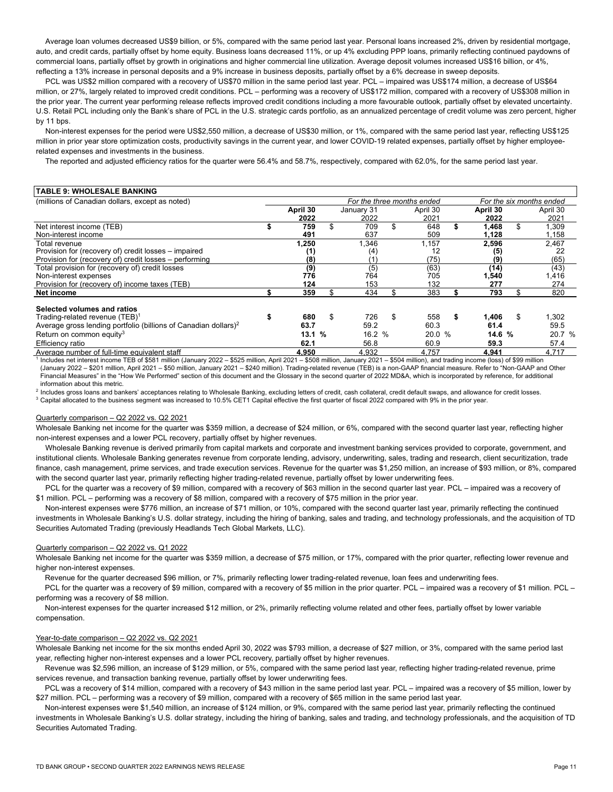auto, and credit cards, partially offset by home equity. Business loans decreased 11%, or up 4% excluding PPP loans, primarily reflecting continued paydowns of Average loan volumes decreased US\$9 billion, or 5%, compared with the same period last year. Personal loans increased 2%, driven by residential mortgage, commercial loans, partially offset by growth in originations and higher commercial line utilization. Average deposit volumes increased US\$16 billion, or 4%, reflecting a 13% increase in personal deposits and a 9% increase in business deposits, partially offset by a 6% decrease in sweep deposits.

PCL was US\$2 million compared with a recovery of US\$70 million in the same period last year. PCL – impaired was US\$174 million, a decrease of US\$64 million, or 27%, largely related to improved credit conditions. PCL – performing was a recovery of US\$172 million, compared with a recovery of US\$308 million in the prior year. The current year performing release reflects improved credit conditions including a more favourable outlook, partially offset by elevated uncertainty. U.S. Retail PCL including only the Bank's share of PCL in the U.S. strategic cards portfolio, as an annualized percentage of credit volume was zero percent, higher by 11 bps.

 Non-interest expenses for the period were US\$2,550 million, a decrease of US\$30 million, or 1%, compared with the same period last year, reflecting US\$125 million in prior year store optimization costs, productivity savings in the current year, and lower COVID-19 related expenses, partially offset by higher employeerelated expenses and investments in the business.

The reported and adjusted efficiency ratios for the quarter were 56.4% and 58.7%, respectively, compared with 62.0%, for the same period last year.

| <b>TABLE 9: WHOLESALE BANKING</b>                                           |                                                        |    |            |    |          |    |          |    |          |  |
|-----------------------------------------------------------------------------|--------------------------------------------------------|----|------------|----|----------|----|----------|----|----------|--|
| (millions of Canadian dollars, except as noted)                             | For the six months ended<br>For the three months ended |    |            |    |          |    |          |    |          |  |
|                                                                             | April 30                                               |    | January 31 |    | April 30 |    | April 30 |    | April 30 |  |
|                                                                             | 2022                                                   |    | 2022       |    | 2021     |    | 2022     |    | 2021     |  |
| Net interest income (TEB)                                                   | 759                                                    |    | 709        | \$ | 648      |    | 1,468    |    | 1,309    |  |
| Non-interest income                                                         | 491                                                    |    | 637        |    | 509      |    | 1,128    |    | 1,158    |  |
| Total revenue                                                               | 250, ا                                                 |    | .346       |    | 1.157    |    | 2,596    |    | 2.467    |  |
| Provision for (recovery of) credit losses – impaired                        | (1)                                                    |    | (4)        |    | 12       |    | (5)      |    | 22       |  |
| Provision for (recovery of) credit losses – performing                      | (8)                                                    |    | (1)        |    | (75)     |    | (9)      |    | (65)     |  |
| Total provision for (recoverv of) credit losses                             | (9)                                                    |    | (5)        |    | (63)     |    | (14)     |    | (43)     |  |
| Non-interest expenses                                                       | 776                                                    |    | 764        |    | 705      |    | 1,540    |    | 1,416    |  |
| Provision for (recovery of) income taxes (TEB)                              | 124                                                    |    | 153        |    | 132      |    | 277      |    | 274      |  |
| Net income                                                                  | 359                                                    |    | 434        |    | 383      |    | 793      |    | 820      |  |
| Selected volumes and ratios                                                 |                                                        |    |            |    |          |    |          |    |          |  |
| Trading-related revenue (TEB) <sup>1</sup>                                  | 680                                                    | \$ | 726        | \$ | 558      | \$ | 1,406    | \$ | 1,302    |  |
| Average gross lending portfolio (billions of Canadian dollars) <sup>2</sup> | 63.7                                                   |    | 59.2       |    | 60.3     |    | 61.4     |    | 59.5     |  |
| Return on common equity <sup>3</sup>                                        | 13.1%                                                  |    | 16.2 %     |    | 20.0 %   |    | 14.6 %   |    | 20.7 %   |  |
| Efficiency ratio                                                            | 62.1                                                   |    | 56.8       |    | 60.9     |    | 59.3     |    | 57.4     |  |
| Average number of full-time equivalent staff                                | 4.950                                                  |    | 4.932      |    | 4.757    |    | 4.941    |    | 4.717    |  |

Includes net interest income TEB of \$581 million (January 2022 – \$525 million. April 2021 – \$508 million, January 2021 – \$504 million), and trading income (loss) of \$99 million (January 2022 – \$201 million, April 2021 – \$50 million, January 2021 – \$240 million). Trading-related revenue (TEB) is a non-GAAP financial measure. Refer to "Non-GAAP and Other Financial Measures" in the "How We Performed" section of this document and the Glossary in the second quarter of 2022 MD&A, which is incorporated by reference, for additional information about this metric.

<sup>2</sup> Includes gross loans and bankers' acceptances relating to Wholesale Banking, excluding letters of credit, cash collateral, credit default swaps, and allowance for credit losses.<br><sup>3</sup> Capital allocated to the business se

#### Quarterly comparison – Q2 2022 vs. Q2 2021

 Wholesale Banking net income for the quarter was \$359 million, a decrease of \$24 million, or 6%, compared with the second quarter last year, reflecting higher non-interest expenses and a lower PCL recovery, partially offset by higher revenues.

 Wholesale Banking revenue is derived primarily from capital markets and corporate and investment banking services provided to corporate, government, and institutional clients. Wholesale Banking generates revenue from corporate lending, advisory, underwriting, sales, trading and research, client securitization, trade finance, cash management, prime services, and trade execution services. Revenue for the quarter was \$1,250 million, an increase of \$93 million, or 8%, compared with the second quarter last year, primarily reflecting higher trading-related revenue, partially offset by lower underwriting fees.<br>PCL for the quarter was a recovery of \$9 million, compared with a recovery of \$63 million

\$1 million. PCL – performing was a recovery of \$8 million, compared with a recovery of \$75 million in the prior year.

 Non-interest expenses were \$776 million, an increase of \$71 million, or 10%, compared with the second quarter last year, primarily reflecting the continued investments in Wholesale Banking's U.S. dollar strategy, including the hiring of banking, sales and trading, and technology professionals, and the acquisition of TD Securities Automated Trading (previously Headlands Tech Global Markets, LLC).

#### Quarterly comparison – Q2 2022 vs. Q1 2022

Wholesale Banking net income for the quarter was \$359 million, a decrease of \$75 million, or 17%, compared with the prior quarter, reflecting lower revenue and higher non-interest expenses.<br>Revenue for the quarter decreased \$96 million, or 7%, primarily reflecting lower trading-related revenue, loan fees and underwriting fees.

PCL for the quarter was a recovery of \$9 million, compared with a recovery of \$5 million in the prior quarter. PCL – impaired was a recovery of \$1 million. PCL – performing was a recovery of \$8 million.

 Non-interest expenses for the quarter increased \$12 million, or 2%, primarily reflecting volume related and other fees, partially offset by lower variable compensation.

## Year-to-date comparison – Q2 2022 vs. Q2 2021

Wholesale Banking net income for the six months ended April 30, 2022 was \$793 million, a decrease of \$27 million, or 3%, compared with the same period last year, reflecting higher non-interest expenses and a lower PCL recovery, partially offset by higher revenues.

 services revenue, and transaction banking revenue, partially offset by lower underwriting fees. Revenue was \$2,596 million, an increase of \$129 million, or 5%, compared with the same period last year, reflecting higher trading-related revenue, prime

 \$27 million. PCL – performing was a recovery of \$9 million, compared with a recovery of \$65 million in the same period last year. PCL was a recovery of \$14 million, compared with a recovery of \$43 million in the same period last year. PCL – impaired was a recovery of \$5 million, lower by

 Non-interest expenses were \$1,540 million, an increase of \$124 million, or 9%, compared with the same period last year, primarily reflecting the continued investments in Wholesale Banking's U.S. dollar strategy, including the hiring of banking, sales and trading, and technology professionals, and the acquisition of TD Securities Automated Trading.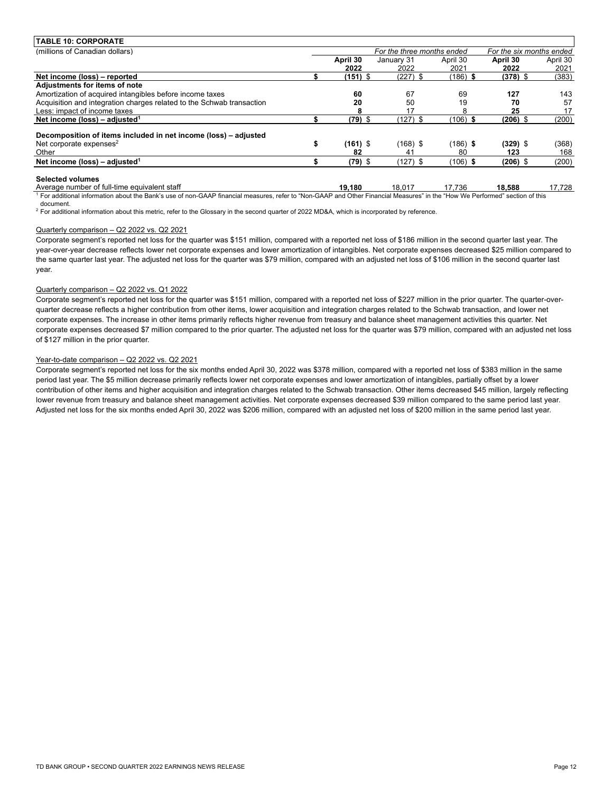| <b>TABLE 10: CORPORATE</b>                                            |            |                            |            |                          |          |
|-----------------------------------------------------------------------|------------|----------------------------|------------|--------------------------|----------|
| (millions of Canadian dollars)                                        |            | For the three months ended |            | For the six months ended |          |
|                                                                       | April 30   | January 31                 | April 30   | April 30                 | April 30 |
|                                                                       | 2022       | 2022                       | 2021       | 2022                     | 2021     |
| Net income (loss) - reported                                          | $(151)$ \$ | $(227)$ \$                 | (186)      | $(378)$ \$               | (383)    |
| Adjustments for items of note                                         |            |                            |            |                          |          |
| Amortization of acquired intangibles before income taxes              | 60         | 67                         | 69         | 127                      | 143      |
| Acquisition and integration charges related to the Schwab transaction | 20         | 50                         | 19         | 70                       | 57       |
| Less: impact of income taxes                                          |            | 17                         |            | 25                       | 17       |
| Net income (loss) – adjusted <sup>1</sup>                             | $(79)$ \$  | $(127)$ \$                 | $(106)$ \$ | $(206)$ \$               | (200)    |
| Decomposition of items included in net income (loss) – adjusted       |            |                            |            |                          |          |
| Net corporate expenses $2$                                            | $(161)$ \$ | (168) \$                   | (186) \$   | $(329)$ \$               | (368)    |
| Other                                                                 | 82         | 41                         | 80         | 123                      | 168      |
| Net income (loss) – adjusted <sup>1</sup>                             | $(79)$ \$  | $(127)$ \$                 | $(106)$ \$ | $(206)$ \$               | (200)    |
| <b>Selected volumes</b>                                               |            |                            |            |                          |          |
| Average number of full-time equivalent staff                          | 19,180     | 18,017                     | 17,736     | 18,588                   | 17,728   |

<sup>1</sup> For additional information about the Bank's use of non-GAAP financial measures, refer to "Non-GAAP and Other Financial Measures" in the "How We Performed" section of this document.

<sup>2</sup> For additional information about this metric, refer to the Glossary in the second quarter of 2022 MD&A, which is incorporated by reference.

#### Quarterly comparison – Q2 2022 vs. Q2 2021

 year-over-year decrease reflects lower net corporate expenses and lower amortization of intangibles. Net corporate expenses decreased \$25 million compared to Corporate segment's reported net loss for the quarter was \$151 million, compared with a reported net loss of \$186 million in the second quarter last year. The the same quarter last year. The adjusted net loss for the quarter was \$79 million, compared with an adjusted net loss of \$106 million in the second quarter last year.

#### Quarterly comparison – Q2 2022 vs. Q1 2022

Corporate segment's reported net loss for the quarter was \$151 million, compared with a reported net loss of \$227 million in the prior quarter. The quarter-overquarter decrease reflects a higher contribution from other items, lower acquisition and integration charges related to the Schwab transaction, and lower net corporate expenses. The increase in other items primarily reflects higher revenue from treasury and balance sheet management activities this quarter. Net corporate expenses decreased \$7 million compared to the prior quarter. The adjusted net loss for the quarter was \$79 million, compared with an adjusted net loss of \$127 million in the prior quarter.

#### Year-to-date comparison – Q2 2022 vs. Q2 2021

 Adjusted net loss for the six months ended April 30, 2022 was \$206 million, compared with an adjusted net loss of \$200 million in the same period last year. Corporate segment's reported net loss for the six months ended April 30, 2022 was \$378 million, compared with a reported net loss of \$383 million in the same period last year. The \$5 million decrease primarily reflects lower net corporate expenses and lower amortization of intangibles, partially offset by a lower contribution of other items and higher acquisition and integration charges related to the Schwab transaction. Other items decreased \$45 million, largely reflecting lower revenue from treasury and balance sheet management activities. Net corporate expenses decreased \$39 million compared to the same period last year.